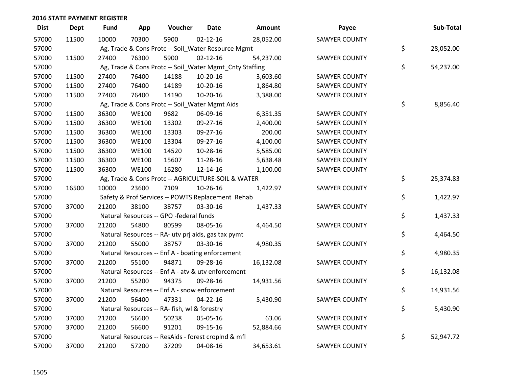| <b>Dist</b> | <b>Dept</b> | <b>Fund</b> | App          | Voucher                                                 | <b>Date</b>    | Amount    | Payee                | Sub-Total       |
|-------------|-------------|-------------|--------------|---------------------------------------------------------|----------------|-----------|----------------------|-----------------|
| 57000       | 11500       | 10000       | 70300        | 5900                                                    | $02 - 12 - 16$ | 28,052.00 | <b>SAWYER COUNTY</b> |                 |
| 57000       |             |             |              | Ag, Trade & Cons Protc -- Soil_Water Resource Mgmt      |                |           |                      | \$<br>28,052.00 |
| 57000       | 11500       | 27400       | 76300        | 5900                                                    | $02 - 12 - 16$ | 54,237.00 | <b>SAWYER COUNTY</b> |                 |
| 57000       |             |             |              | Ag, Trade & Cons Protc -- Soil_Water Mgmt_Cnty Staffing |                |           |                      | \$<br>54,237.00 |
| 57000       | 11500       | 27400       | 76400        | 14188                                                   | 10-20-16       | 3,603.60  | <b>SAWYER COUNTY</b> |                 |
| 57000       | 11500       | 27400       | 76400        | 14189                                                   | $10 - 20 - 16$ | 1,864.80  | <b>SAWYER COUNTY</b> |                 |
| 57000       | 11500       | 27400       | 76400        | 14190                                                   | $10-20-16$     | 3,388.00  | <b>SAWYER COUNTY</b> |                 |
| 57000       |             |             |              | Ag, Trade & Cons Protc -- Soil_Water Mgmt Aids          |                |           |                      | \$<br>8,856.40  |
| 57000       | 11500       | 36300       | <b>WE100</b> | 9682                                                    | 06-09-16       | 6,351.35  | <b>SAWYER COUNTY</b> |                 |
| 57000       | 11500       | 36300       | <b>WE100</b> | 13302                                                   | 09-27-16       | 2,400.00  | <b>SAWYER COUNTY</b> |                 |
| 57000       | 11500       | 36300       | <b>WE100</b> | 13303                                                   | 09-27-16       | 200.00    | <b>SAWYER COUNTY</b> |                 |
| 57000       | 11500       | 36300       | <b>WE100</b> | 13304                                                   | 09-27-16       | 4,100.00  | <b>SAWYER COUNTY</b> |                 |
| 57000       | 11500       | 36300       | <b>WE100</b> | 14520                                                   | 10-28-16       | 5,585.00  | <b>SAWYER COUNTY</b> |                 |
| 57000       | 11500       | 36300       | <b>WE100</b> | 15607                                                   | 11-28-16       | 5,638.48  | <b>SAWYER COUNTY</b> |                 |
| 57000       | 11500       | 36300       | <b>WE100</b> | 16280                                                   | 12-14-16       | 1,100.00  | <b>SAWYER COUNTY</b> |                 |
| 57000       |             |             |              | Ag, Trade & Cons Protc -- AGRICULTURE-SOIL & WATER      |                |           |                      | \$<br>25,374.83 |
| 57000       | 16500       | 10000       | 23600        | 7109                                                    | 10-26-16       | 1,422.97  | <b>SAWYER COUNTY</b> |                 |
| 57000       |             |             |              | Safety & Prof Services -- POWTS Replacement Rehab       |                |           |                      | \$<br>1,422.97  |
| 57000       | 37000       | 21200       | 38100        | 38757                                                   | 03-30-16       | 1,437.33  | SAWYER COUNTY        |                 |
| 57000       |             |             |              | Natural Resources -- GPO -federal funds                 |                |           |                      | \$<br>1,437.33  |
| 57000       | 37000       | 21200       | 54800        | 80599                                                   | 08-05-16       | 4,464.50  | <b>SAWYER COUNTY</b> |                 |
| 57000       |             |             |              | Natural Resources -- RA- utv prj aids, gas tax pymt     |                |           |                      | \$<br>4,464.50  |
| 57000       | 37000       | 21200       | 55000        | 38757                                                   | 03-30-16       | 4,980.35  | <b>SAWYER COUNTY</b> |                 |
| 57000       |             |             |              | Natural Resources -- Enf A - boating enforcement        |                |           |                      | \$<br>4,980.35  |
| 57000       | 37000       | 21200       | 55100        | 94871                                                   | 09-28-16       | 16,132.08 | <b>SAWYER COUNTY</b> |                 |
| 57000       |             |             |              | Natural Resources -- Enf A - atv & utv enforcement      |                |           |                      | \$<br>16,132.08 |
| 57000       | 37000       | 21200       | 55200        | 94375                                                   | 09-28-16       | 14,931.56 | <b>SAWYER COUNTY</b> |                 |
| 57000       |             |             |              | Natural Resources -- Enf A - snow enforcement           |                |           |                      | \$<br>14,931.56 |
| 57000       | 37000       | 21200       | 56400        | 47331                                                   | 04-22-16       | 5,430.90  | <b>SAWYER COUNTY</b> |                 |
| 57000       |             |             |              | Natural Resources -- RA- fish, wl & forestry            |                |           |                      | \$<br>5,430.90  |
| 57000       | 37000       | 21200       | 56600        | 50238                                                   | 05-05-16       | 63.06     | <b>SAWYER COUNTY</b> |                 |
| 57000       | 37000       | 21200       | 56600        | 91201                                                   | 09-15-16       | 52,884.66 | <b>SAWYER COUNTY</b> |                 |
| 57000       |             |             |              | Natural Resources -- ResAids - forest croplnd & mfl     |                |           |                      | \$<br>52,947.72 |
| 57000       | 37000       | 21200       | 57200        | 37209                                                   | 04-08-16       | 34,653.61 | <b>SAWYER COUNTY</b> |                 |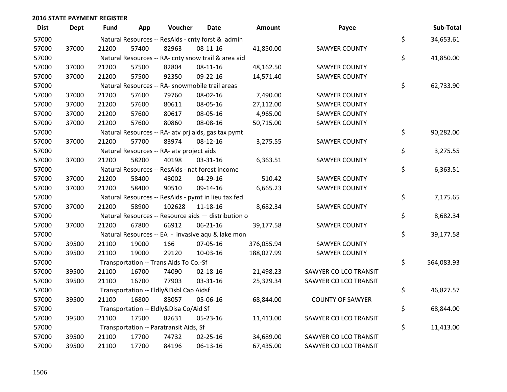| <b>Dist</b> | <b>Dept</b> | <b>Fund</b> | App   | Voucher                                             | <b>Date</b>    | Amount     | Payee                   | Sub-Total        |
|-------------|-------------|-------------|-------|-----------------------------------------------------|----------------|------------|-------------------------|------------------|
| 57000       |             |             |       | Natural Resources -- ResAids - cnty forst & admin   |                |            |                         | \$<br>34,653.61  |
| 57000       | 37000       | 21200       | 57400 | 82963                                               | 08-11-16       | 41,850.00  | <b>SAWYER COUNTY</b>    |                  |
| 57000       |             |             |       | Natural Resources -- RA- cnty snow trail & area aid |                |            |                         | \$<br>41,850.00  |
| 57000       | 37000       | 21200       | 57500 | 82804                                               | 08-11-16       | 48,162.50  | <b>SAWYER COUNTY</b>    |                  |
| 57000       | 37000       | 21200       | 57500 | 92350                                               | 09-22-16       | 14,571.40  | <b>SAWYER COUNTY</b>    |                  |
| 57000       |             |             |       | Natural Resources -- RA- snowmobile trail areas     |                |            |                         | \$<br>62,733.90  |
| 57000       | 37000       | 21200       | 57600 | 79760                                               | 08-02-16       | 7,490.00   | <b>SAWYER COUNTY</b>    |                  |
| 57000       | 37000       | 21200       | 57600 | 80611                                               | 08-05-16       | 27,112.00  | <b>SAWYER COUNTY</b>    |                  |
| 57000       | 37000       | 21200       | 57600 | 80617                                               | 08-05-16       | 4,965.00   | SAWYER COUNTY           |                  |
| 57000       | 37000       | 21200       | 57600 | 80860                                               | 08-08-16       | 50,715.00  | <b>SAWYER COUNTY</b>    |                  |
| 57000       |             |             |       | Natural Resources -- RA- atv prj aids, gas tax pymt |                |            |                         | \$<br>90,282.00  |
| 57000       | 37000       | 21200       | 57700 | 83974                                               | $08-12-16$     | 3,275.55   | <b>SAWYER COUNTY</b>    |                  |
| 57000       |             |             |       | Natural Resources -- RA- atv project aids           |                |            |                         | \$<br>3,275.55   |
| 57000       | 37000       | 21200       | 58200 | 40198                                               | 03-31-16       | 6,363.51   | <b>SAWYER COUNTY</b>    |                  |
| 57000       |             |             |       | Natural Resources -- ResAids - nat forest income    |                |            |                         | \$<br>6,363.51   |
| 57000       | 37000       | 21200       | 58400 | 48002                                               | 04-29-16       | 510.42     | <b>SAWYER COUNTY</b>    |                  |
| 57000       | 37000       | 21200       | 58400 | 90510                                               | 09-14-16       | 6,665.23   | <b>SAWYER COUNTY</b>    |                  |
| 57000       |             |             |       | Natural Resources -- ResAids - pymt in lieu tax fed |                |            |                         | \$<br>7,175.65   |
| 57000       | 37000       | 21200       | 58900 | 102628                                              | $11 - 18 - 16$ | 8,682.34   | <b>SAWYER COUNTY</b>    |                  |
| 57000       |             |             |       | Natural Resources -- Resource aids - distribution o |                |            |                         | \$<br>8,682.34   |
| 57000       | 37000       | 21200       | 67800 | 66912                                               | 06-21-16       | 39,177.58  | <b>SAWYER COUNTY</b>    |                  |
| 57000       |             |             |       | Natural Resources -- EA - invasive aqu & lake mon   |                |            |                         | \$<br>39,177.58  |
| 57000       | 39500       | 21100       | 19000 | 166                                                 | 07-05-16       | 376,055.94 | <b>SAWYER COUNTY</b>    |                  |
| 57000       | 39500       | 21100       | 19000 | 29120                                               | 10-03-16       | 188,027.99 | <b>SAWYER COUNTY</b>    |                  |
| 57000       |             |             |       | Transportation -- Trans Aids To Co.-Sf              |                |            |                         | \$<br>564,083.93 |
| 57000       | 39500       | 21100       | 16700 | 74090                                               | 02-18-16       | 21,498.23  | SAWYER CO LCO TRANSIT   |                  |
| 57000       | 39500       | 21100       | 16700 | 77903                                               | 03-31-16       | 25,329.34  | SAWYER CO LCO TRANSIT   |                  |
| 57000       |             |             |       | Transportation -- Eldly&Dsbl Cap Aidsf              |                |            |                         | \$<br>46,827.57  |
| 57000       | 39500       | 21100       | 16800 | 88057                                               | 05-06-16       | 68,844.00  | <b>COUNTY OF SAWYER</b> |                  |
| 57000       |             |             |       | Transportation -- Eldly&Disa Co/Aid Sf              |                |            |                         | \$<br>68,844.00  |
| 57000       | 39500       | 21100       | 17500 | 82631                                               | 05-23-16       | 11,413.00  | SAWYER CO LCO TRANSIT   |                  |
| 57000       |             |             |       | Transportation -- Paratransit Aids, Sf              |                |            |                         | \$<br>11,413.00  |
| 57000       | 39500       | 21100       | 17700 | 74732                                               | 02-25-16       | 34,689.00  | SAWYER CO LCO TRANSIT   |                  |
| 57000       | 39500       | 21100       | 17700 | 84196                                               | 06-13-16       | 67,435.00  | SAWYER CO LCO TRANSIT   |                  |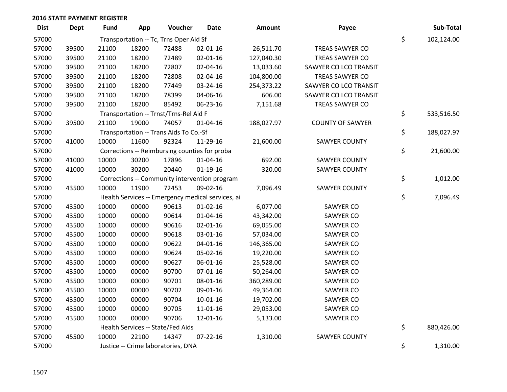| <b>Dist</b> | <b>Dept</b> | <b>Fund</b> | App   | Voucher                                | <b>Date</b>                                       | Amount     | Payee                   | Sub-Total        |
|-------------|-------------|-------------|-------|----------------------------------------|---------------------------------------------------|------------|-------------------------|------------------|
| 57000       |             |             |       | Transportation -- Tc, Trns Oper Aid Sf |                                                   |            |                         | \$<br>102,124.00 |
| 57000       | 39500       | 21100       | 18200 | 72488                                  | 02-01-16                                          | 26,511.70  | TREAS SAWYER CO         |                  |
| 57000       | 39500       | 21100       | 18200 | 72489                                  | $02 - 01 - 16$                                    | 127,040.30 | TREAS SAWYER CO         |                  |
| 57000       | 39500       | 21100       | 18200 | 72807                                  | 02-04-16                                          | 13,033.60  | SAWYER CO LCO TRANSIT   |                  |
| 57000       | 39500       | 21100       | 18200 | 72808                                  | 02-04-16                                          | 104,800.00 | TREAS SAWYER CO         |                  |
| 57000       | 39500       | 21100       | 18200 | 77449                                  | 03-24-16                                          | 254,373.22 | SAWYER CO LCO TRANSIT   |                  |
| 57000       | 39500       | 21100       | 18200 | 78399                                  | 04-06-16                                          | 606.00     | SAWYER CO LCO TRANSIT   |                  |
| 57000       | 39500       | 21100       | 18200 | 85492                                  | 06-23-16                                          | 7,151.68   | TREAS SAWYER CO         |                  |
| 57000       |             |             |       | Transportation -- Trnst/Trns-Rel Aid F |                                                   |            |                         | \$<br>533,516.50 |
| 57000       | 39500       | 21100       | 19000 | 74057                                  | $01 - 04 - 16$                                    | 188,027.97 | <b>COUNTY OF SAWYER</b> |                  |
| 57000       |             |             |       | Transportation -- Trans Aids To Co.-Sf |                                                   |            |                         | \$<br>188,027.97 |
| 57000       | 41000       | 10000       | 11600 | 92324                                  | 11-29-16                                          | 21,600.00  | <b>SAWYER COUNTY</b>    |                  |
| 57000       |             |             |       |                                        | Corrections -- Reimbursing counties for proba     |            |                         | \$<br>21,600.00  |
| 57000       | 41000       | 10000       | 30200 | 17896                                  | $01 - 04 - 16$                                    | 692.00     | <b>SAWYER COUNTY</b>    |                  |
| 57000       | 41000       | 10000       | 30200 | 20440                                  | $01-19-16$                                        | 320.00     | <b>SAWYER COUNTY</b>    |                  |
| 57000       |             |             |       |                                        | Corrections -- Community intervention program     |            |                         | \$<br>1,012.00   |
| 57000       | 43500       | 10000       | 11900 | 72453                                  | 09-02-16                                          | 7,096.49   | <b>SAWYER COUNTY</b>    |                  |
| 57000       |             |             |       |                                        | Health Services -- Emergency medical services, ai |            |                         | \$<br>7,096.49   |
| 57000       | 43500       | 10000       | 00000 | 90613                                  | $01 - 02 - 16$                                    | 6,077.00   | SAWYER CO               |                  |
| 57000       | 43500       | 10000       | 00000 | 90614                                  | 01-04-16                                          | 43,342.00  | SAWYER CO               |                  |
| 57000       | 43500       | 10000       | 00000 | 90616                                  | $02 - 01 - 16$                                    | 69,055.00  | SAWYER CO               |                  |
| 57000       | 43500       | 10000       | 00000 | 90618                                  | 03-01-16                                          | 57,034.00  | SAWYER CO               |                  |
| 57000       | 43500       | 10000       | 00000 | 90622                                  | $04 - 01 - 16$                                    | 146,365.00 | SAWYER CO               |                  |
| 57000       | 43500       | 10000       | 00000 | 90624                                  | 05-02-16                                          | 19,220.00  | SAWYER CO               |                  |
| 57000       | 43500       | 10000       | 00000 | 90627                                  | 06-01-16                                          | 25,528.00  | SAWYER CO               |                  |
| 57000       | 43500       | 10000       | 00000 | 90700                                  | $07 - 01 - 16$                                    | 50,264.00  | SAWYER CO               |                  |
| 57000       | 43500       | 10000       | 00000 | 90701                                  | 08-01-16                                          | 360,289.00 | SAWYER CO               |                  |
| 57000       | 43500       | 10000       | 00000 | 90702                                  | 09-01-16                                          | 49,364.00  | SAWYER CO               |                  |
| 57000       | 43500       | 10000       | 00000 | 90704                                  | $10-01-16$                                        | 19,702.00  | SAWYER CO               |                  |
| 57000       | 43500       | 10000       | 00000 | 90705                                  | 11-01-16                                          | 29,053.00  | SAWYER CO               |                  |
| 57000       | 43500       | 10000       | 00000 | 90706                                  | 12-01-16                                          | 5,133.00   | SAWYER CO               |                  |
| 57000       |             |             |       | Health Services -- State/Fed Aids      |                                                   |            |                         | \$<br>880,426.00 |
| 57000       | 45500       | 10000       | 22100 | 14347                                  | $07 - 22 - 16$                                    | 1,310.00   | <b>SAWYER COUNTY</b>    |                  |
| 57000       |             |             |       | Justice -- Crime laboratories, DNA     |                                                   |            |                         | \$<br>1,310.00   |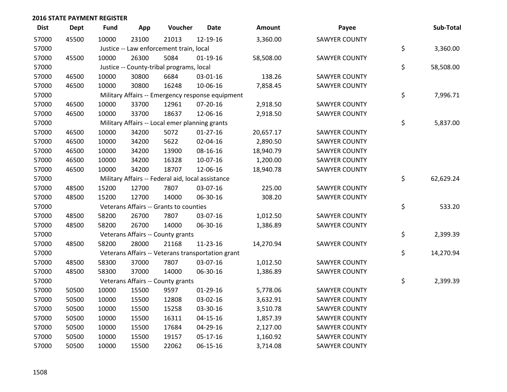| <b>Dist</b> | <b>Dept</b> | Fund  | App   | Voucher                                           | <b>Date</b>    | Amount    | Payee                | Sub-Total       |
|-------------|-------------|-------|-------|---------------------------------------------------|----------------|-----------|----------------------|-----------------|
| 57000       | 45500       | 10000 | 23100 | 21013                                             | 12-19-16       | 3,360.00  | <b>SAWYER COUNTY</b> |                 |
| 57000       |             |       |       | Justice -- Law enforcement train, local           |                |           |                      | \$<br>3,360.00  |
| 57000       | 45500       | 10000 | 26300 | 5084                                              | $01-19-16$     | 58,508.00 | <b>SAWYER COUNTY</b> |                 |
| 57000       |             |       |       | Justice -- County-tribal programs, local          |                |           |                      | \$<br>58,508.00 |
| 57000       | 46500       | 10000 | 30800 | 6684                                              | 03-01-16       | 138.26    | <b>SAWYER COUNTY</b> |                 |
| 57000       | 46500       | 10000 | 30800 | 16248                                             | 10-06-16       | 7,858.45  | <b>SAWYER COUNTY</b> |                 |
| 57000       |             |       |       | Military Affairs -- Emergency response equipment  |                |           |                      | \$<br>7,996.71  |
| 57000       | 46500       | 10000 | 33700 | 12961                                             | $07 - 20 - 16$ | 2,918.50  | <b>SAWYER COUNTY</b> |                 |
| 57000       | 46500       | 10000 | 33700 | 18637                                             | 12-06-16       | 2,918.50  | <b>SAWYER COUNTY</b> |                 |
| 57000       |             |       |       | Military Affairs -- Local emer planning grants    |                |           |                      | \$<br>5,837.00  |
| 57000       | 46500       | 10000 | 34200 | 5072                                              | $01-27-16$     | 20,657.17 | <b>SAWYER COUNTY</b> |                 |
| 57000       | 46500       | 10000 | 34200 | 5622                                              | $02 - 04 - 16$ | 2,890.50  | <b>SAWYER COUNTY</b> |                 |
| 57000       | 46500       | 10000 | 34200 | 13900                                             | 08-16-16       | 18,940.79 | <b>SAWYER COUNTY</b> |                 |
| 57000       | 46500       | 10000 | 34200 | 16328                                             | 10-07-16       | 1,200.00  | <b>SAWYER COUNTY</b> |                 |
| 57000       | 46500       | 10000 | 34200 | 18707                                             | 12-06-16       | 18,940.78 | <b>SAWYER COUNTY</b> |                 |
| 57000       |             |       |       | Military Affairs -- Federal aid, local assistance |                |           |                      | \$<br>62,629.24 |
| 57000       | 48500       | 15200 | 12700 | 7807                                              | 03-07-16       | 225.00    | <b>SAWYER COUNTY</b> |                 |
| 57000       | 48500       | 15200 | 12700 | 14000                                             | 06-30-16       | 308.20    | <b>SAWYER COUNTY</b> |                 |
| 57000       |             |       |       | Veterans Affairs -- Grants to counties            |                |           |                      | \$<br>533.20    |
| 57000       | 48500       | 58200 | 26700 | 7807                                              | 03-07-16       | 1,012.50  | <b>SAWYER COUNTY</b> |                 |
| 57000       | 48500       | 58200 | 26700 | 14000                                             | 06-30-16       | 1,386.89  | <b>SAWYER COUNTY</b> |                 |
| 57000       |             |       |       | Veterans Affairs -- County grants                 |                |           |                      | \$<br>2,399.39  |
| 57000       | 48500       | 58200 | 28000 | 21168                                             | 11-23-16       | 14,270.94 | <b>SAWYER COUNTY</b> |                 |
| 57000       |             |       |       | Veterans Affairs -- Veterans transportation grant |                |           |                      | \$<br>14,270.94 |
| 57000       | 48500       | 58300 | 37000 | 7807                                              | 03-07-16       | 1,012.50  | <b>SAWYER COUNTY</b> |                 |
| 57000       | 48500       | 58300 | 37000 | 14000                                             | 06-30-16       | 1,386.89  | <b>SAWYER COUNTY</b> |                 |
| 57000       |             |       |       | Veterans Affairs -- County grants                 |                |           |                      | \$<br>2,399.39  |
| 57000       | 50500       | 10000 | 15500 | 9597                                              | $01-29-16$     | 5,778.06  | <b>SAWYER COUNTY</b> |                 |
| 57000       | 50500       | 10000 | 15500 | 12808                                             | 03-02-16       | 3,632.91  | <b>SAWYER COUNTY</b> |                 |
| 57000       | 50500       | 10000 | 15500 | 15258                                             | 03-30-16       | 3,510.78  | <b>SAWYER COUNTY</b> |                 |
| 57000       | 50500       | 10000 | 15500 | 16311                                             | $04 - 15 - 16$ | 1,857.39  | <b>SAWYER COUNTY</b> |                 |
| 57000       | 50500       | 10000 | 15500 | 17684                                             | 04-29-16       | 2,127.00  | <b>SAWYER COUNTY</b> |                 |
| 57000       | 50500       | 10000 | 15500 | 19157                                             | 05-17-16       | 1,160.92  | <b>SAWYER COUNTY</b> |                 |
| 57000       | 50500       | 10000 | 15500 | 22062                                             | 06-15-16       | 3,714.08  | <b>SAWYER COUNTY</b> |                 |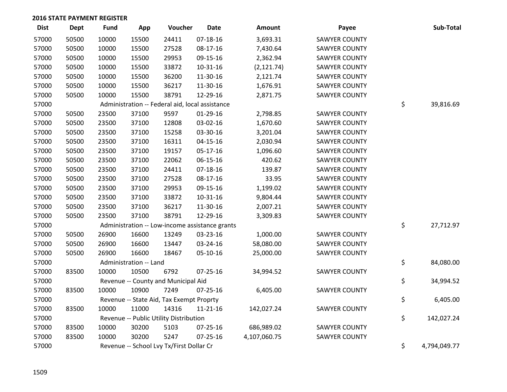| <b>Dist</b> | <b>Dept</b> | <b>Fund</b> | App                    | Voucher                                         | <b>Date</b>                                    | <b>Amount</b> | Payee                | Sub-Total          |
|-------------|-------------|-------------|------------------------|-------------------------------------------------|------------------------------------------------|---------------|----------------------|--------------------|
| 57000       | 50500       | 10000       | 15500                  | 24411                                           | 07-18-16                                       | 3,693.31      | <b>SAWYER COUNTY</b> |                    |
| 57000       | 50500       | 10000       | 15500                  | 27528                                           | 08-17-16                                       | 7,430.64      | <b>SAWYER COUNTY</b> |                    |
| 57000       | 50500       | 10000       | 15500                  | 29953                                           | 09-15-16                                       | 2,362.94      | <b>SAWYER COUNTY</b> |                    |
| 57000       | 50500       | 10000       | 15500                  | 33872                                           | 10-31-16                                       | (2, 121.74)   | <b>SAWYER COUNTY</b> |                    |
| 57000       | 50500       | 10000       | 15500                  | 36200                                           | 11-30-16                                       | 2,121.74      | <b>SAWYER COUNTY</b> |                    |
| 57000       | 50500       | 10000       | 15500                  | 36217                                           | 11-30-16                                       | 1,676.91      | <b>SAWYER COUNTY</b> |                    |
| 57000       | 50500       | 10000       | 15500                  | 38791                                           | 12-29-16                                       | 2,871.75      | <b>SAWYER COUNTY</b> |                    |
| 57000       |             |             |                        | Administration -- Federal aid, local assistance |                                                |               |                      | \$<br>39,816.69    |
| 57000       | 50500       | 23500       | 37100                  | 9597                                            | 01-29-16                                       | 2,798.85      | <b>SAWYER COUNTY</b> |                    |
| 57000       | 50500       | 23500       | 37100                  | 12808                                           | 03-02-16                                       | 1,670.60      | <b>SAWYER COUNTY</b> |                    |
| 57000       | 50500       | 23500       | 37100                  | 15258                                           | 03-30-16                                       | 3,201.04      | <b>SAWYER COUNTY</b> |                    |
| 57000       | 50500       | 23500       | 37100                  | 16311                                           | $04 - 15 - 16$                                 | 2,030.94      | <b>SAWYER COUNTY</b> |                    |
| 57000       | 50500       | 23500       | 37100                  | 19157                                           | 05-17-16                                       | 1,096.60      | <b>SAWYER COUNTY</b> |                    |
| 57000       | 50500       | 23500       | 37100                  | 22062                                           | 06-15-16                                       | 420.62        | <b>SAWYER COUNTY</b> |                    |
| 57000       | 50500       | 23500       | 37100                  | 24411                                           | 07-18-16                                       | 139.87        | <b>SAWYER COUNTY</b> |                    |
| 57000       | 50500       | 23500       | 37100                  | 27528                                           | 08-17-16                                       | 33.95         | SAWYER COUNTY        |                    |
| 57000       | 50500       | 23500       | 37100                  | 29953                                           | 09-15-16                                       | 1,199.02      | <b>SAWYER COUNTY</b> |                    |
| 57000       | 50500       | 23500       | 37100                  | 33872                                           | 10-31-16                                       | 9,804.44      | <b>SAWYER COUNTY</b> |                    |
| 57000       | 50500       | 23500       | 37100                  | 36217                                           | 11-30-16                                       | 2,007.21      | <b>SAWYER COUNTY</b> |                    |
| 57000       | 50500       | 23500       | 37100                  | 38791                                           | 12-29-16                                       | 3,309.83      | <b>SAWYER COUNTY</b> |                    |
| 57000       |             |             |                        |                                                 | Administration -- Low-income assistance grants |               |                      | \$<br>27,712.97    |
| 57000       | 50500       | 26900       | 16600                  | 13249                                           | 03-23-16                                       | 1,000.00      | <b>SAWYER COUNTY</b> |                    |
| 57000       | 50500       | 26900       | 16600                  | 13447                                           | 03-24-16                                       | 58,080.00     | <b>SAWYER COUNTY</b> |                    |
| 57000       | 50500       | 26900       | 16600                  | 18467                                           | 05-10-16                                       | 25,000.00     | <b>SAWYER COUNTY</b> |                    |
| 57000       |             |             | Administration -- Land |                                                 |                                                |               |                      | \$<br>84,080.00    |
| 57000       | 83500       | 10000       | 10500                  | 6792                                            | 07-25-16                                       | 34,994.52     | SAWYER COUNTY        |                    |
| 57000       |             |             |                        | Revenue -- County and Municipal Aid             |                                                |               |                      | \$<br>34,994.52    |
| 57000       | 83500       | 10000       | 10900                  | 7249                                            | 07-25-16                                       | 6,405.00      | <b>SAWYER COUNTY</b> |                    |
| 57000       |             |             |                        | Revenue -- State Aid, Tax Exempt Proprty        |                                                |               |                      | \$<br>6,405.00     |
| 57000       | 83500       | 10000       | 11000                  | 14316                                           | 11-21-16                                       | 142,027.24    | <b>SAWYER COUNTY</b> |                    |
| 57000       |             |             |                        | Revenue -- Public Utility Distribution          |                                                |               |                      | \$<br>142,027.24   |
| 57000       | 83500       | 10000       | 30200                  | 5103                                            | 07-25-16                                       | 686,989.02    | <b>SAWYER COUNTY</b> |                    |
| 57000       | 83500       | 10000       | 30200                  | 5247                                            | $07 - 25 - 16$                                 | 4,107,060.75  | <b>SAWYER COUNTY</b> |                    |
| 57000       |             |             |                        | Revenue -- School Lvy Tx/First Dollar Cr        |                                                |               |                      | \$<br>4,794,049.77 |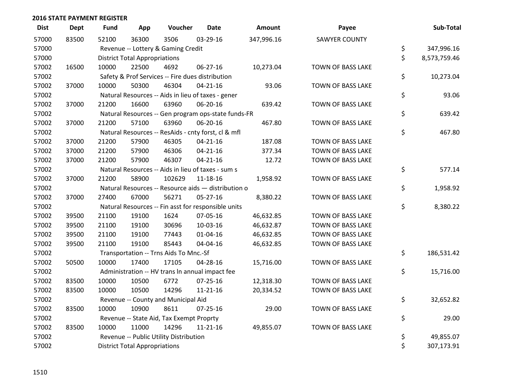| <b>Dist</b> | <b>Dept</b> | <b>Fund</b> | App                                  | Voucher                                  | <b>Date</b>                                         | Amount     | Payee                    | Sub-Total          |
|-------------|-------------|-------------|--------------------------------------|------------------------------------------|-----------------------------------------------------|------------|--------------------------|--------------------|
| 57000       | 83500       | 52100       | 36300                                | 3506                                     | 03-29-16                                            | 347,996.16 | <b>SAWYER COUNTY</b>     |                    |
| 57000       |             |             |                                      | Revenue -- Lottery & Gaming Credit       |                                                     |            |                          | \$<br>347,996.16   |
| 57000       |             |             | <b>District Total Appropriations</b> |                                          |                                                     |            |                          | \$<br>8,573,759.46 |
| 57002       | 16500       | 10000       | 22500                                | 4692                                     | 06-27-16                                            | 10,273.04  | TOWN OF BASS LAKE        |                    |
| 57002       |             |             |                                      |                                          | Safety & Prof Services -- Fire dues distribution    |            |                          | \$<br>10,273.04    |
| 57002       | 37000       | 10000       | 50300                                | 46304                                    | $04 - 21 - 16$                                      | 93.06      | TOWN OF BASS LAKE        |                    |
| 57002       |             |             |                                      |                                          | Natural Resources -- Aids in lieu of taxes - gener  |            |                          | \$<br>93.06        |
| 57002       | 37000       | 21200       | 16600                                | 63960                                    | 06-20-16                                            | 639.42     | <b>TOWN OF BASS LAKE</b> |                    |
| 57002       |             |             |                                      |                                          | Natural Resources -- Gen program ops-state funds-FR |            |                          | \$<br>639.42       |
| 57002       | 37000       | 21200       | 57100                                | 63960                                    | 06-20-16                                            | 467.80     | TOWN OF BASS LAKE        |                    |
| 57002       |             |             |                                      |                                          | Natural Resources -- ResAids - cnty forst, cl & mfl |            |                          | \$<br>467.80       |
| 57002       | 37000       | 21200       | 57900                                | 46305                                    | $04 - 21 - 16$                                      | 187.08     | TOWN OF BASS LAKE        |                    |
| 57002       | 37000       | 21200       | 57900                                | 46306                                    | $04 - 21 - 16$                                      | 377.34     | TOWN OF BASS LAKE        |                    |
| 57002       | 37000       | 21200       | 57900                                | 46307                                    | $04 - 21 - 16$                                      | 12.72      | TOWN OF BASS LAKE        |                    |
| 57002       |             |             |                                      |                                          | Natural Resources -- Aids in lieu of taxes - sum s  |            |                          | \$<br>577.14       |
| 57002       | 37000       | 21200       | 58900                                | 102629                                   | 11-18-16                                            | 1,958.92   | TOWN OF BASS LAKE        |                    |
| 57002       |             |             |                                      |                                          | Natural Resources -- Resource aids - distribution o |            |                          | \$<br>1,958.92     |
| 57002       | 37000       | 27400       | 67000                                | 56271                                    | 05-27-16                                            | 8,380.22   | TOWN OF BASS LAKE        |                    |
| 57002       |             |             |                                      |                                          | Natural Resources -- Fin asst for responsible units |            |                          | \$<br>8,380.22     |
| 57002       | 39500       | 21100       | 19100                                | 1624                                     | 07-05-16                                            | 46,632.85  | TOWN OF BASS LAKE        |                    |
| 57002       | 39500       | 21100       | 19100                                | 30696                                    | 10-03-16                                            | 46,632.87  | TOWN OF BASS LAKE        |                    |
| 57002       | 39500       | 21100       | 19100                                | 77443                                    | $01 - 04 - 16$                                      | 46,632.85  | TOWN OF BASS LAKE        |                    |
| 57002       | 39500       | 21100       | 19100                                | 85443                                    | 04-04-16                                            | 46,632.85  | TOWN OF BASS LAKE        |                    |
| 57002       |             |             |                                      | Transportation -- Trns Aids To Mnc.-Sf   |                                                     |            |                          | \$<br>186,531.42   |
| 57002       | 50500       | 10000       | 17400                                | 17105                                    | 04-28-16                                            | 15,716.00  | TOWN OF BASS LAKE        |                    |
| 57002       |             |             |                                      |                                          | Administration -- HV trans In annual impact fee     |            |                          | \$<br>15,716.00    |
| 57002       | 83500       | 10000       | 10500                                | 6772                                     | $07 - 25 - 16$                                      | 12,318.30  | <b>TOWN OF BASS LAKE</b> |                    |
| 57002       | 83500       | 10000       | 10500                                | 14296                                    | $11 - 21 - 16$                                      | 20,334.52  | TOWN OF BASS LAKE        |                    |
| 57002       |             |             |                                      | Revenue -- County and Municipal Aid      |                                                     |            |                          | \$<br>32,652.82    |
| 57002       | 83500       | 10000       | 10900                                | 8611                                     | $07 - 25 - 16$                                      | 29.00      | TOWN OF BASS LAKE        |                    |
| 57002       |             |             |                                      | Revenue -- State Aid, Tax Exempt Proprty |                                                     |            |                          | \$<br>29.00        |
| 57002       | 83500       | 10000       | 11000                                | 14296                                    | $11 - 21 - 16$                                      | 49,855.07  | TOWN OF BASS LAKE        |                    |
| 57002       |             |             |                                      | Revenue -- Public Utility Distribution   |                                                     |            |                          | \$<br>49,855.07    |
| 57002       |             |             | <b>District Total Appropriations</b> |                                          |                                                     |            |                          | \$<br>307,173.91   |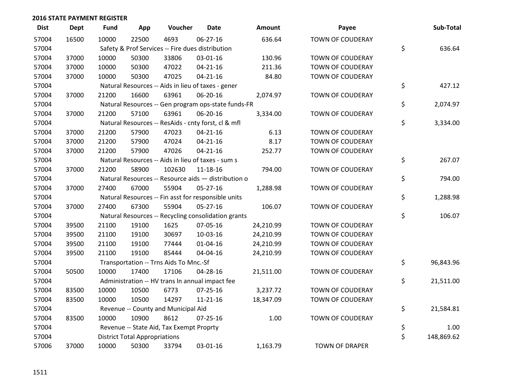| <b>Dist</b> | Dept  | <b>Fund</b> | App                                  | Voucher                                             | <b>Date</b>    | <b>Amount</b> | Payee                   | Sub-Total        |
|-------------|-------|-------------|--------------------------------------|-----------------------------------------------------|----------------|---------------|-------------------------|------------------|
| 57004       | 16500 | 10000       | 22500                                | 4693                                                | $06 - 27 - 16$ | 636.64        | <b>TOWN OF COUDERAY</b> |                  |
| 57004       |       |             |                                      | Safety & Prof Services -- Fire dues distribution    |                |               |                         | \$<br>636.64     |
| 57004       | 37000 | 10000       | 50300                                | 33806                                               | 03-01-16       | 130.96        | TOWN OF COUDERAY        |                  |
| 57004       | 37000 | 10000       | 50300                                | 47022                                               | $04 - 21 - 16$ | 211.36        | <b>TOWN OF COUDERAY</b> |                  |
| 57004       | 37000 | 10000       | 50300                                | 47025                                               | $04 - 21 - 16$ | 84.80         | <b>TOWN OF COUDERAY</b> |                  |
| 57004       |       |             |                                      | Natural Resources -- Aids in lieu of taxes - gener  |                |               |                         | \$<br>427.12     |
| 57004       | 37000 | 21200       | 16600                                | 63961                                               | 06-20-16       | 2,074.97      | TOWN OF COUDERAY        |                  |
| 57004       |       |             |                                      | Natural Resources -- Gen program ops-state funds-FR |                |               |                         | \$<br>2,074.97   |
| 57004       | 37000 | 21200       | 57100                                | 63961                                               | 06-20-16       | 3,334.00      | TOWN OF COUDERAY        |                  |
| 57004       |       |             |                                      | Natural Resources -- ResAids - cnty forst, cl & mfl |                |               |                         | \$<br>3,334.00   |
| 57004       | 37000 | 21200       | 57900                                | 47023                                               | $04 - 21 - 16$ | 6.13          | TOWN OF COUDERAY        |                  |
| 57004       | 37000 | 21200       | 57900                                | 47024                                               | $04 - 21 - 16$ | 8.17          | <b>TOWN OF COUDERAY</b> |                  |
| 57004       | 37000 | 21200       | 57900                                | 47026                                               | $04 - 21 - 16$ | 252.77        | TOWN OF COUDERAY        |                  |
| 57004       |       |             |                                      | Natural Resources -- Aids in lieu of taxes - sum s  |                |               |                         | \$<br>267.07     |
| 57004       | 37000 | 21200       | 58900                                | 102630                                              | 11-18-16       | 794.00        | TOWN OF COUDERAY        |                  |
| 57004       |       |             |                                      | Natural Resources -- Resource aids - distribution o |                |               |                         | \$<br>794.00     |
| 57004       | 37000 | 27400       | 67000                                | 55904                                               | $05 - 27 - 16$ | 1,288.98      | <b>TOWN OF COUDERAY</b> |                  |
| 57004       |       |             |                                      | Natural Resources -- Fin asst for responsible units |                |               |                         | \$<br>1,288.98   |
| 57004       | 37000 | 27400       | 67300                                | 55904                                               | $05 - 27 - 16$ | 106.07        | TOWN OF COUDERAY        |                  |
| 57004       |       |             |                                      | Natural Resources -- Recycling consolidation grants |                |               |                         | \$<br>106.07     |
| 57004       | 39500 | 21100       | 19100                                | 1625                                                | 07-05-16       | 24,210.99     | <b>TOWN OF COUDERAY</b> |                  |
| 57004       | 39500 | 21100       | 19100                                | 30697                                               | 10-03-16       | 24,210.99     | TOWN OF COUDERAY        |                  |
| 57004       | 39500 | 21100       | 19100                                | 77444                                               | $01 - 04 - 16$ | 24,210.99     | TOWN OF COUDERAY        |                  |
| 57004       | 39500 | 21100       | 19100                                | 85444                                               | 04-04-16       | 24,210.99     | <b>TOWN OF COUDERAY</b> |                  |
| 57004       |       |             |                                      | Transportation -- Trns Aids To Mnc.-Sf              |                |               |                         | \$<br>96,843.96  |
| 57004       | 50500 | 10000       | 17400                                | 17106                                               | 04-28-16       | 21,511.00     | TOWN OF COUDERAY        |                  |
| 57004       |       |             |                                      | Administration -- HV trans In annual impact fee     |                |               |                         | \$<br>21,511.00  |
| 57004       | 83500 | 10000       | 10500                                | 6773                                                | $07 - 25 - 16$ | 3,237.72      | <b>TOWN OF COUDERAY</b> |                  |
| 57004       | 83500 | 10000       | 10500                                | 14297                                               | $11 - 21 - 16$ | 18,347.09     | TOWN OF COUDERAY        |                  |
| 57004       |       |             |                                      | Revenue -- County and Municipal Aid                 |                |               |                         | \$<br>21,584.81  |
| 57004       | 83500 | 10000       | 10900                                | 8612                                                | 07-25-16       | 1.00          | TOWN OF COUDERAY        |                  |
| 57004       |       |             |                                      | Revenue -- State Aid, Tax Exempt Proprty            |                |               |                         | \$<br>1.00       |
| 57004       |       |             | <b>District Total Appropriations</b> |                                                     |                |               |                         | \$<br>148,869.62 |
| 57006       | 37000 | 10000       | 50300                                | 33794                                               | 03-01-16       | 1,163.79      | <b>TOWN OF DRAPER</b>   |                  |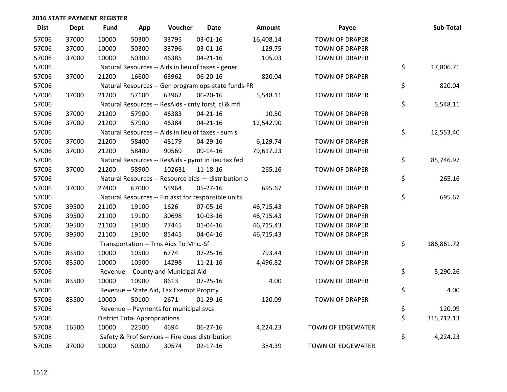| <b>Dist</b> | <b>Dept</b> | <b>Fund</b> | App                                  | Voucher                                  | <b>Date</b>                                         | Amount    | Payee                    | Sub-Total        |
|-------------|-------------|-------------|--------------------------------------|------------------------------------------|-----------------------------------------------------|-----------|--------------------------|------------------|
| 57006       | 37000       | 10000       | 50300                                | 33795                                    | 03-01-16                                            | 16,408.14 | <b>TOWN OF DRAPER</b>    |                  |
| 57006       | 37000       | 10000       | 50300                                | 33796                                    | 03-01-16                                            | 129.75    | <b>TOWN OF DRAPER</b>    |                  |
| 57006       | 37000       | 10000       | 50300                                | 46385                                    | $04 - 21 - 16$                                      | 105.03    | <b>TOWN OF DRAPER</b>    |                  |
| 57006       |             |             |                                      |                                          | Natural Resources -- Aids in lieu of taxes - gener  |           |                          | \$<br>17,806.71  |
| 57006       | 37000       | 21200       | 16600                                | 63962                                    | 06-20-16                                            | 820.04    | <b>TOWN OF DRAPER</b>    |                  |
| 57006       |             |             |                                      |                                          | Natural Resources -- Gen program ops-state funds-FR |           |                          | \$<br>820.04     |
| 57006       | 37000       | 21200       | 57100                                | 63962                                    | 06-20-16                                            | 5,548.11  | <b>TOWN OF DRAPER</b>    |                  |
| 57006       |             |             |                                      |                                          | Natural Resources -- ResAids - cnty forst, cl & mfl |           |                          | \$<br>5,548.11   |
| 57006       | 37000       | 21200       | 57900                                | 46383                                    | $04 - 21 - 16$                                      | 10.50     | <b>TOWN OF DRAPER</b>    |                  |
| 57006       | 37000       | 21200       | 57900                                | 46384                                    | $04 - 21 - 16$                                      | 12,542.90 | <b>TOWN OF DRAPER</b>    |                  |
| 57006       |             |             |                                      |                                          | Natural Resources -- Aids in lieu of taxes - sum s  |           |                          | \$<br>12,553.40  |
| 57006       | 37000       | 21200       | 58400                                | 48179                                    | 04-29-16                                            | 6,129.74  | <b>TOWN OF DRAPER</b>    |                  |
| 57006       | 37000       | 21200       | 58400                                | 90569                                    | 09-14-16                                            | 79,617.23 | TOWN OF DRAPER           |                  |
| 57006       |             |             |                                      |                                          | Natural Resources -- ResAids - pymt in lieu tax fed |           |                          | \$<br>85,746.97  |
| 57006       | 37000       | 21200       | 58900                                | 102631                                   | 11-18-16                                            | 265.16    | <b>TOWN OF DRAPER</b>    |                  |
| 57006       |             |             |                                      |                                          | Natural Resources -- Resource aids - distribution o |           |                          | \$<br>265.16     |
| 57006       | 37000       | 27400       | 67000                                | 55964                                    | 05-27-16                                            | 695.67    | <b>TOWN OF DRAPER</b>    |                  |
| 57006       |             |             |                                      |                                          | Natural Resources -- Fin asst for responsible units |           |                          | \$<br>695.67     |
| 57006       | 39500       | 21100       | 19100                                | 1626                                     | 07-05-16                                            | 46,715.43 | <b>TOWN OF DRAPER</b>    |                  |
| 57006       | 39500       | 21100       | 19100                                | 30698                                    | 10-03-16                                            | 46,715.43 | <b>TOWN OF DRAPER</b>    |                  |
| 57006       | 39500       | 21100       | 19100                                | 77445                                    | $01 - 04 - 16$                                      | 46,715.43 | <b>TOWN OF DRAPER</b>    |                  |
| 57006       | 39500       | 21100       | 19100                                | 85445                                    | 04-04-16                                            | 46,715.43 | <b>TOWN OF DRAPER</b>    |                  |
| 57006       |             |             |                                      | Transportation -- Trns Aids To Mnc.-Sf   |                                                     |           |                          | \$<br>186,861.72 |
| 57006       | 83500       | 10000       | 10500                                | 6774                                     | 07-25-16                                            | 793.44    | <b>TOWN OF DRAPER</b>    |                  |
| 57006       | 83500       | 10000       | 10500                                | 14298                                    | $11 - 21 - 16$                                      | 4,496.82  | <b>TOWN OF DRAPER</b>    |                  |
| 57006       |             |             |                                      | Revenue -- County and Municipal Aid      |                                                     |           |                          | \$<br>5,290.26   |
| 57006       | 83500       | 10000       | 10900                                | 8613                                     | $07 - 25 - 16$                                      | 4.00      | <b>TOWN OF DRAPER</b>    |                  |
| 57006       |             |             |                                      | Revenue -- State Aid, Tax Exempt Proprty |                                                     |           |                          | \$<br>4.00       |
| 57006       | 83500       | 10000       | 50100                                | 2671                                     | $01-29-16$                                          | 120.09    | <b>TOWN OF DRAPER</b>    |                  |
| 57006       |             |             |                                      | Revenue -- Payments for municipal svcs   |                                                     |           |                          | \$<br>120.09     |
| 57006       |             |             | <b>District Total Appropriations</b> |                                          |                                                     |           |                          | \$<br>315,712.13 |
| 57008       | 16500       | 10000       | 22500                                | 4694                                     | 06-27-16                                            | 4,224.23  | <b>TOWN OF EDGEWATER</b> |                  |
| 57008       |             |             |                                      |                                          | Safety & Prof Services -- Fire dues distribution    |           |                          | \$<br>4,224.23   |
| 57008       | 37000       | 10000       | 50300                                | 30574                                    | $02 - 17 - 16$                                      | 384.39    | <b>TOWN OF EDGEWATER</b> |                  |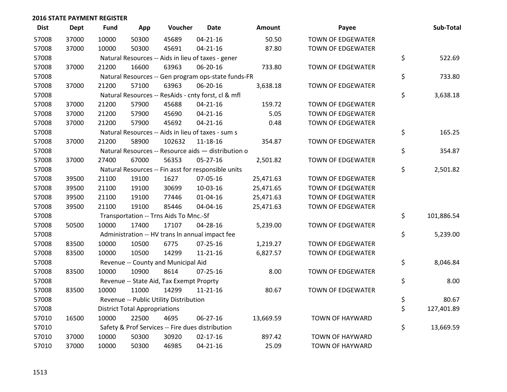| <b>Dist</b> | <b>Dept</b> | <b>Fund</b> | App                                  | Voucher                                             | <b>Date</b>    | Amount    | Payee                    | Sub-Total        |
|-------------|-------------|-------------|--------------------------------------|-----------------------------------------------------|----------------|-----------|--------------------------|------------------|
| 57008       | 37000       | 10000       | 50300                                | 45689                                               | $04 - 21 - 16$ | 50.50     | <b>TOWN OF EDGEWATER</b> |                  |
| 57008       | 37000       | 10000       | 50300                                | 45691                                               | $04 - 21 - 16$ | 87.80     | <b>TOWN OF EDGEWATER</b> |                  |
| 57008       |             |             |                                      | Natural Resources -- Aids in lieu of taxes - gener  |                |           |                          | \$<br>522.69     |
| 57008       | 37000       | 21200       | 16600                                | 63963                                               | 06-20-16       | 733.80    | <b>TOWN OF EDGEWATER</b> |                  |
| 57008       |             |             |                                      | Natural Resources -- Gen program ops-state funds-FR |                |           |                          | \$<br>733.80     |
| 57008       | 37000       | 21200       | 57100                                | 63963                                               | 06-20-16       | 3,638.18  | <b>TOWN OF EDGEWATER</b> |                  |
| 57008       |             |             |                                      | Natural Resources -- ResAids - cnty forst, cl & mfl |                |           |                          | \$<br>3,638.18   |
| 57008       | 37000       | 21200       | 57900                                | 45688                                               | $04 - 21 - 16$ | 159.72    | <b>TOWN OF EDGEWATER</b> |                  |
| 57008       | 37000       | 21200       | 57900                                | 45690                                               | $04 - 21 - 16$ | 5.05      | TOWN OF EDGEWATER        |                  |
| 57008       | 37000       | 21200       | 57900                                | 45692                                               | $04 - 21 - 16$ | 0.48      | TOWN OF EDGEWATER        |                  |
| 57008       |             |             |                                      | Natural Resources -- Aids in lieu of taxes - sum s  |                |           |                          | \$<br>165.25     |
| 57008       | 37000       | 21200       | 58900                                | 102632                                              | $11 - 18 - 16$ | 354.87    | TOWN OF EDGEWATER        |                  |
| 57008       |             |             |                                      | Natural Resources -- Resource aids - distribution o |                |           |                          | \$<br>354.87     |
| 57008       | 37000       | 27400       | 67000                                | 56353                                               | $05 - 27 - 16$ | 2,501.82  | TOWN OF EDGEWATER        |                  |
| 57008       |             |             |                                      | Natural Resources -- Fin asst for responsible units |                |           |                          | \$<br>2,501.82   |
| 57008       | 39500       | 21100       | 19100                                | 1627                                                | 07-05-16       | 25,471.63 | <b>TOWN OF EDGEWATER</b> |                  |
| 57008       | 39500       | 21100       | 19100                                | 30699                                               | 10-03-16       | 25,471.65 | <b>TOWN OF EDGEWATER</b> |                  |
| 57008       | 39500       | 21100       | 19100                                | 77446                                               | $01 - 04 - 16$ | 25,471.63 | <b>TOWN OF EDGEWATER</b> |                  |
| 57008       | 39500       | 21100       | 19100                                | 85446                                               | 04-04-16       | 25,471.63 | TOWN OF EDGEWATER        |                  |
| 57008       |             |             |                                      | Transportation -- Trns Aids To Mnc.-Sf              |                |           |                          | \$<br>101,886.54 |
| 57008       | 50500       | 10000       | 17400                                | 17107                                               | 04-28-16       | 5,239.00  | TOWN OF EDGEWATER        |                  |
| 57008       |             |             |                                      | Administration -- HV trans In annual impact fee     |                |           |                          | \$<br>5,239.00   |
| 57008       | 83500       | 10000       | 10500                                | 6775                                                | $07 - 25 - 16$ | 1,219.27  | TOWN OF EDGEWATER        |                  |
| 57008       | 83500       | 10000       | 10500                                | 14299                                               | $11 - 21 - 16$ | 6,827.57  | TOWN OF EDGEWATER        |                  |
| 57008       |             |             |                                      | Revenue -- County and Municipal Aid                 |                |           |                          | \$<br>8,046.84   |
| 57008       | 83500       | 10000       | 10900                                | 8614                                                | $07 - 25 - 16$ | 8.00      | TOWN OF EDGEWATER        |                  |
| 57008       |             |             |                                      | Revenue -- State Aid, Tax Exempt Proprty            |                |           |                          | \$<br>8.00       |
| 57008       | 83500       | 10000       | 11000                                | 14299                                               | $11 - 21 - 16$ | 80.67     | <b>TOWN OF EDGEWATER</b> |                  |
| 57008       |             |             |                                      | Revenue -- Public Utility Distribution              |                |           |                          | \$<br>80.67      |
| 57008       |             |             | <b>District Total Appropriations</b> |                                                     |                |           |                          | \$<br>127,401.89 |
| 57010       | 16500       | 10000       | 22500                                | 4695                                                | 06-27-16       | 13,669.59 | <b>TOWN OF HAYWARD</b>   |                  |
| 57010       |             |             |                                      | Safety & Prof Services -- Fire dues distribution    |                |           |                          | \$<br>13,669.59  |
| 57010       | 37000       | 10000       | 50300                                | 30920                                               | $02 - 17 - 16$ | 897.42    | <b>TOWN OF HAYWARD</b>   |                  |
| 57010       | 37000       | 10000       | 50300                                | 46985                                               | $04 - 21 - 16$ | 25.09     | <b>TOWN OF HAYWARD</b>   |                  |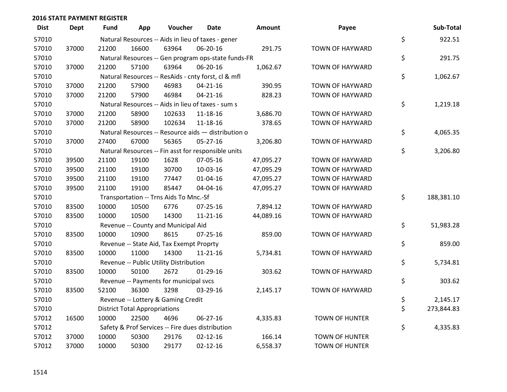| <b>Dist</b> | <b>Dept</b> | Fund  | App                                  | Voucher                                             | Date           | Amount    | Payee                  | Sub-Total        |
|-------------|-------------|-------|--------------------------------------|-----------------------------------------------------|----------------|-----------|------------------------|------------------|
| 57010       |             |       |                                      | Natural Resources -- Aids in lieu of taxes - gener  |                |           |                        | \$<br>922.51     |
| 57010       | 37000       | 21200 | 16600                                | 63964                                               | 06-20-16       | 291.75    | <b>TOWN OF HAYWARD</b> |                  |
| 57010       |             |       |                                      | Natural Resources -- Gen program ops-state funds-FR |                |           |                        | \$<br>291.75     |
| 57010       | 37000       | 21200 | 57100                                | 63964                                               | 06-20-16       | 1,062.67  | <b>TOWN OF HAYWARD</b> |                  |
| 57010       |             |       |                                      | Natural Resources -- ResAids - cnty forst, cl & mfl |                |           |                        | \$<br>1,062.67   |
| 57010       | 37000       | 21200 | 57900                                | 46983                                               | $04 - 21 - 16$ | 390.95    | TOWN OF HAYWARD        |                  |
| 57010       | 37000       | 21200 | 57900                                | 46984                                               | $04 - 21 - 16$ | 828.23    | TOWN OF HAYWARD        |                  |
| 57010       |             |       |                                      | Natural Resources -- Aids in lieu of taxes - sum s  |                |           |                        | \$<br>1,219.18   |
| 57010       | 37000       | 21200 | 58900                                | 102633                                              | 11-18-16       | 3,686.70  | TOWN OF HAYWARD        |                  |
| 57010       | 37000       | 21200 | 58900                                | 102634                                              | 11-18-16       | 378.65    | TOWN OF HAYWARD        |                  |
| 57010       |             |       |                                      | Natural Resources -- Resource aids - distribution o |                |           |                        | \$<br>4,065.35   |
| 57010       | 37000       | 27400 | 67000                                | 56365                                               | $05 - 27 - 16$ | 3,206.80  | <b>TOWN OF HAYWARD</b> |                  |
| 57010       |             |       |                                      | Natural Resources -- Fin asst for responsible units |                |           |                        | \$<br>3,206.80   |
| 57010       | 39500       | 21100 | 19100                                | 1628                                                | 07-05-16       | 47,095.27 | TOWN OF HAYWARD        |                  |
| 57010       | 39500       | 21100 | 19100                                | 30700                                               | 10-03-16       | 47,095.29 | TOWN OF HAYWARD        |                  |
| 57010       | 39500       | 21100 | 19100                                | 77447                                               | $01 - 04 - 16$ | 47,095.27 | <b>TOWN OF HAYWARD</b> |                  |
| 57010       | 39500       | 21100 | 19100                                | 85447                                               | 04-04-16       | 47,095.27 | <b>TOWN OF HAYWARD</b> |                  |
| 57010       |             |       |                                      | Transportation -- Trns Aids To Mnc.-Sf              |                |           |                        | \$<br>188,381.10 |
| 57010       | 83500       | 10000 | 10500                                | 6776                                                | 07-25-16       | 7,894.12  | TOWN OF HAYWARD        |                  |
| 57010       | 83500       | 10000 | 10500                                | 14300                                               | $11 - 21 - 16$ | 44,089.16 | TOWN OF HAYWARD        |                  |
| 57010       |             |       |                                      | Revenue -- County and Municipal Aid                 |                |           |                        | \$<br>51,983.28  |
| 57010       | 83500       | 10000 | 10900                                | 8615                                                | 07-25-16       | 859.00    | TOWN OF HAYWARD        |                  |
| 57010       |             |       |                                      | Revenue -- State Aid, Tax Exempt Proprty            |                |           |                        | \$<br>859.00     |
| 57010       | 83500       | 10000 | 11000                                | 14300                                               | $11 - 21 - 16$ | 5,734.81  | TOWN OF HAYWARD        |                  |
| 57010       |             |       |                                      | Revenue -- Public Utility Distribution              |                |           |                        | \$<br>5,734.81   |
| 57010       | 83500       | 10000 | 50100                                | 2672                                                | $01-29-16$     | 303.62    | TOWN OF HAYWARD        |                  |
| 57010       |             |       |                                      | Revenue -- Payments for municipal svcs              |                |           |                        | \$<br>303.62     |
| 57010       | 83500       | 52100 | 36300                                | 3298                                                | 03-29-16       | 2,145.17  | TOWN OF HAYWARD        |                  |
| 57010       |             |       |                                      | Revenue -- Lottery & Gaming Credit                  |                |           |                        | \$<br>2,145.17   |
| 57010       |             |       | <b>District Total Appropriations</b> |                                                     |                |           |                        | \$<br>273,844.83 |
| 57012       | 16500       | 10000 | 22500                                | 4696                                                | 06-27-16       | 4,335.83  | <b>TOWN OF HUNTER</b>  |                  |
| 57012       |             |       |                                      | Safety & Prof Services -- Fire dues distribution    |                |           |                        | \$<br>4,335.83   |
| 57012       | 37000       | 10000 | 50300                                | 29176                                               | $02 - 12 - 16$ | 166.14    | <b>TOWN OF HUNTER</b>  |                  |
| 57012       | 37000       | 10000 | 50300                                | 29177                                               | $02 - 12 - 16$ | 6,558.37  | <b>TOWN OF HUNTER</b>  |                  |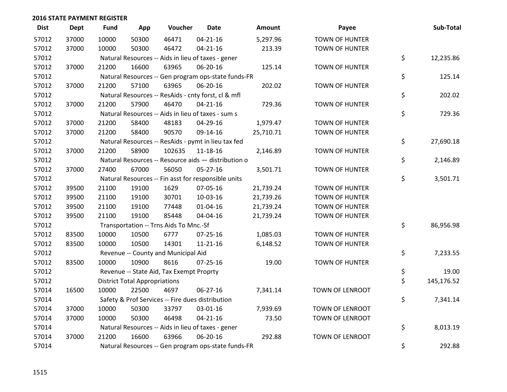| <b>Dist</b> | <b>Dept</b> | Fund  | App                                  | Voucher                                             | <b>Date</b>    | Amount    | Payee                  | Sub-Total        |
|-------------|-------------|-------|--------------------------------------|-----------------------------------------------------|----------------|-----------|------------------------|------------------|
| 57012       | 37000       | 10000 | 50300                                | 46471                                               | $04 - 21 - 16$ | 5,297.96  | <b>TOWN OF HUNTER</b>  |                  |
| 57012       | 37000       | 10000 | 50300                                | 46472                                               | $04 - 21 - 16$ | 213.39    | TOWN OF HUNTER         |                  |
| 57012       |             |       |                                      | Natural Resources -- Aids in lieu of taxes - gener  |                |           |                        | \$<br>12,235.86  |
| 57012       | 37000       | 21200 | 16600                                | 63965                                               | 06-20-16       | 125.14    | <b>TOWN OF HUNTER</b>  |                  |
| 57012       |             |       |                                      | Natural Resources -- Gen program ops-state funds-FR |                |           |                        | \$<br>125.14     |
| 57012       | 37000       | 21200 | 57100                                | 63965                                               | 06-20-16       | 202.02    | TOWN OF HUNTER         |                  |
| 57012       |             |       |                                      | Natural Resources -- ResAids - cnty forst, cl & mfl |                |           |                        | \$<br>202.02     |
| 57012       | 37000       | 21200 | 57900                                | 46470                                               | $04 - 21 - 16$ | 729.36    | <b>TOWN OF HUNTER</b>  |                  |
| 57012       |             |       |                                      | Natural Resources -- Aids in lieu of taxes - sum s  |                |           |                        | \$<br>729.36     |
| 57012       | 37000       | 21200 | 58400                                | 48183                                               | 04-29-16       | 1,979.47  | <b>TOWN OF HUNTER</b>  |                  |
| 57012       | 37000       | 21200 | 58400                                | 90570                                               | 09-14-16       | 25,710.71 | <b>TOWN OF HUNTER</b>  |                  |
| 57012       |             |       |                                      | Natural Resources -- ResAids - pymt in lieu tax fed |                |           |                        | \$<br>27,690.18  |
| 57012       | 37000       | 21200 | 58900                                | 102635                                              | 11-18-16       | 2,146.89  | <b>TOWN OF HUNTER</b>  |                  |
| 57012       |             |       |                                      | Natural Resources -- Resource aids - distribution o |                |           |                        | \$<br>2,146.89   |
| 57012       | 37000       | 27400 | 67000                                | 56050                                               | $05 - 27 - 16$ | 3,501.71  | <b>TOWN OF HUNTER</b>  |                  |
| 57012       |             |       |                                      | Natural Resources -- Fin asst for responsible units |                |           |                        | \$<br>3,501.71   |
| 57012       | 39500       | 21100 | 19100                                | 1629                                                | 07-05-16       | 21,739.24 | TOWN OF HUNTER         |                  |
| 57012       | 39500       | 21100 | 19100                                | 30701                                               | 10-03-16       | 21,739.26 | <b>TOWN OF HUNTER</b>  |                  |
| 57012       | 39500       | 21100 | 19100                                | 77448                                               | $01 - 04 - 16$ | 21,739.24 | <b>TOWN OF HUNTER</b>  |                  |
| 57012       | 39500       | 21100 | 19100                                | 85448                                               | 04-04-16       | 21,739.24 | <b>TOWN OF HUNTER</b>  |                  |
| 57012       |             |       |                                      | Transportation -- Trns Aids To Mnc.-Sf              |                |           |                        | \$<br>86,956.98  |
| 57012       | 83500       | 10000 | 10500                                | 6777                                                | 07-25-16       | 1,085.03  | <b>TOWN OF HUNTER</b>  |                  |
| 57012       | 83500       | 10000 | 10500                                | 14301                                               | $11 - 21 - 16$ | 6,148.52  | TOWN OF HUNTER         |                  |
| 57012       |             |       |                                      | Revenue -- County and Municipal Aid                 |                |           |                        | \$<br>7,233.55   |
| 57012       | 83500       | 10000 | 10900                                | 8616                                                | $07 - 25 - 16$ | 19.00     | <b>TOWN OF HUNTER</b>  |                  |
| 57012       |             |       |                                      | Revenue -- State Aid, Tax Exempt Proprty            |                |           |                        | \$<br>19.00      |
| 57012       |             |       | <b>District Total Appropriations</b> |                                                     |                |           |                        | \$<br>145,176.52 |
| 57014       | 16500       | 10000 | 22500                                | 4697                                                | 06-27-16       | 7,341.14  | TOWN OF LENROOT        |                  |
| 57014       |             |       |                                      | Safety & Prof Services -- Fire dues distribution    |                |           |                        | \$<br>7,341.14   |
| 57014       | 37000       | 10000 | 50300                                | 33797                                               | 03-01-16       | 7,939.69  | TOWN OF LENROOT        |                  |
| 57014       | 37000       | 10000 | 50300                                | 46498                                               | $04 - 21 - 16$ | 73.50     | TOWN OF LENROOT        |                  |
| 57014       |             |       |                                      | Natural Resources -- Aids in lieu of taxes - gener  |                |           |                        | \$<br>8,013.19   |
| 57014       | 37000       | 21200 | 16600                                | 63966                                               | 06-20-16       | 292.88    | <b>TOWN OF LENROOT</b> |                  |
| 57014       |             |       |                                      | Natural Resources -- Gen program ops-state funds-FR |                |           |                        | \$<br>292.88     |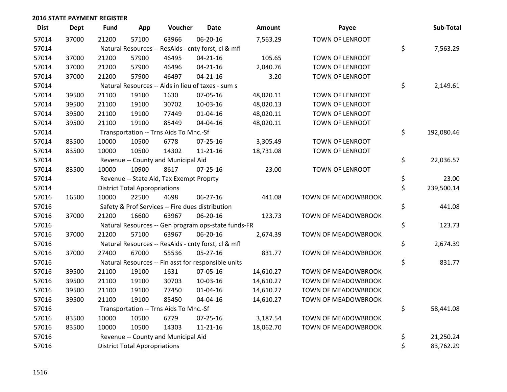| <b>Dist</b> | <b>Dept</b> | <b>Fund</b> | App                                  | Voucher                                             | Date           | <b>Amount</b> | Payee                  | Sub-Total        |
|-------------|-------------|-------------|--------------------------------------|-----------------------------------------------------|----------------|---------------|------------------------|------------------|
| 57014       | 37000       | 21200       | 57100                                | 63966                                               | 06-20-16       | 7,563.29      | TOWN OF LENROOT        |                  |
| 57014       |             |             |                                      | Natural Resources -- ResAids - cnty forst, cl & mfl |                |               |                        | \$<br>7,563.29   |
| 57014       | 37000       | 21200       | 57900                                | 46495                                               | $04 - 21 - 16$ | 105.65        | TOWN OF LENROOT        |                  |
| 57014       | 37000       | 21200       | 57900                                | 46496                                               | $04 - 21 - 16$ | 2,040.76      | TOWN OF LENROOT        |                  |
| 57014       | 37000       | 21200       | 57900                                | 46497                                               | $04 - 21 - 16$ | 3.20          | TOWN OF LENROOT        |                  |
| 57014       |             |             |                                      | Natural Resources -- Aids in lieu of taxes - sum s  |                |               |                        | \$<br>2,149.61   |
| 57014       | 39500       | 21100       | 19100                                | 1630                                                | 07-05-16       | 48,020.11     | TOWN OF LENROOT        |                  |
| 57014       | 39500       | 21100       | 19100                                | 30702                                               | 10-03-16       | 48,020.13     | <b>TOWN OF LENROOT</b> |                  |
| 57014       | 39500       | 21100       | 19100                                | 77449                                               | $01 - 04 - 16$ | 48,020.11     | <b>TOWN OF LENROOT</b> |                  |
| 57014       | 39500       | 21100       | 19100                                | 85449                                               | 04-04-16       | 48,020.11     | TOWN OF LENROOT        |                  |
| 57014       |             |             |                                      | Transportation -- Trns Aids To Mnc.-Sf              |                |               |                        | \$<br>192,080.46 |
| 57014       | 83500       | 10000       | 10500                                | 6778                                                | $07 - 25 - 16$ | 3,305.49      | TOWN OF LENROOT        |                  |
| 57014       | 83500       | 10000       | 10500                                | 14302                                               | $11 - 21 - 16$ | 18,731.08     | TOWN OF LENROOT        |                  |
| 57014       |             |             |                                      | Revenue -- County and Municipal Aid                 |                |               |                        | \$<br>22,036.57  |
| 57014       | 83500       | 10000       | 10900                                | 8617                                                | $07 - 25 - 16$ | 23.00         | TOWN OF LENROOT        |                  |
| 57014       |             |             |                                      | Revenue -- State Aid, Tax Exempt Proprty            |                |               |                        | \$<br>23.00      |
| 57014       |             |             | <b>District Total Appropriations</b> |                                                     |                |               |                        | \$<br>239,500.14 |
| 57016       | 16500       | 10000       | 22500                                | 4698                                                | 06-27-16       | 441.08        | TOWN OF MEADOWBROOK    |                  |
| 57016       |             |             |                                      | Safety & Prof Services -- Fire dues distribution    |                |               |                        | \$<br>441.08     |
| 57016       | 37000       | 21200       | 16600                                | 63967                                               | 06-20-16       | 123.73        | TOWN OF MEADOWBROOK    |                  |
| 57016       |             |             |                                      | Natural Resources -- Gen program ops-state funds-FR |                |               |                        | \$<br>123.73     |
| 57016       | 37000       | 21200       | 57100                                | 63967                                               | 06-20-16       | 2,674.39      | TOWN OF MEADOWBROOK    |                  |
| 57016       |             |             |                                      | Natural Resources -- ResAids - cnty forst, cl & mfl |                |               |                        | \$<br>2,674.39   |
| 57016       | 37000       | 27400       | 67000                                | 55536                                               | $05 - 27 - 16$ | 831.77        | TOWN OF MEADOWBROOK    |                  |
| 57016       |             |             |                                      | Natural Resources -- Fin asst for responsible units |                |               |                        | \$<br>831.77     |
| 57016       | 39500       | 21100       | 19100                                | 1631                                                | 07-05-16       | 14,610.27     | TOWN OF MEADOWBROOK    |                  |
| 57016       | 39500       | 21100       | 19100                                | 30703                                               | 10-03-16       | 14,610.27     | TOWN OF MEADOWBROOK    |                  |
| 57016       | 39500       | 21100       | 19100                                | 77450                                               | $01 - 04 - 16$ | 14,610.27     | TOWN OF MEADOWBROOK    |                  |
| 57016       | 39500       | 21100       | 19100                                | 85450                                               | 04-04-16       | 14,610.27     | TOWN OF MEADOWBROOK    |                  |
| 57016       |             |             |                                      | Transportation -- Trns Aids To Mnc.-Sf              |                |               |                        | \$<br>58,441.08  |
| 57016       | 83500       | 10000       | 10500                                | 6779                                                | $07 - 25 - 16$ | 3,187.54      | TOWN OF MEADOWBROOK    |                  |
| 57016       | 83500       | 10000       | 10500                                | 14303                                               | $11 - 21 - 16$ | 18,062.70     | TOWN OF MEADOWBROOK    |                  |
| 57016       |             |             |                                      | Revenue -- County and Municipal Aid                 |                |               |                        | \$<br>21,250.24  |
| 57016       |             |             | <b>District Total Appropriations</b> |                                                     |                |               |                        | \$<br>83,762.29  |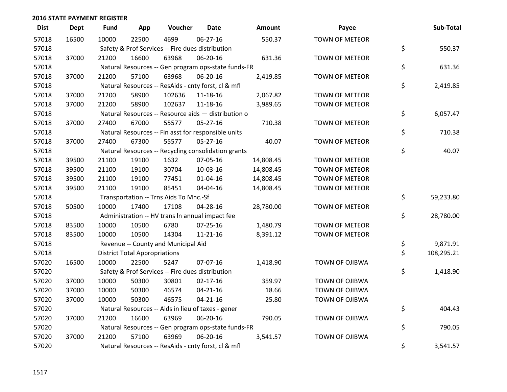| <b>Dist</b> | <b>Dept</b> | <b>Fund</b> | App                                  | Voucher                                             | <b>Date</b>    | Amount    | Payee                 | Sub-Total        |
|-------------|-------------|-------------|--------------------------------------|-----------------------------------------------------|----------------|-----------|-----------------------|------------------|
| 57018       | 16500       | 10000       | 22500                                | 4699                                                | 06-27-16       | 550.37    | <b>TOWN OF METEOR</b> |                  |
| 57018       |             |             |                                      | Safety & Prof Services -- Fire dues distribution    |                |           |                       | \$<br>550.37     |
| 57018       | 37000       | 21200       | 16600                                | 63968                                               | 06-20-16       | 631.36    | <b>TOWN OF METEOR</b> |                  |
| 57018       |             |             |                                      | Natural Resources -- Gen program ops-state funds-FR |                |           |                       | \$<br>631.36     |
| 57018       | 37000       | 21200       | 57100                                | 63968                                               | 06-20-16       | 2,419.85  | <b>TOWN OF METEOR</b> |                  |
| 57018       |             |             |                                      | Natural Resources -- ResAids - cnty forst, cl & mfl |                |           |                       | \$<br>2,419.85   |
| 57018       | 37000       | 21200       | 58900                                | 102636                                              | 11-18-16       | 2,067.82  | <b>TOWN OF METEOR</b> |                  |
| 57018       | 37000       | 21200       | 58900                                | 102637                                              | 11-18-16       | 3,989.65  | <b>TOWN OF METEOR</b> |                  |
| 57018       |             |             |                                      | Natural Resources -- Resource aids - distribution o |                |           |                       | \$<br>6,057.47   |
| 57018       | 37000       | 27400       | 67000                                | 55577                                               | $05 - 27 - 16$ | 710.38    | <b>TOWN OF METEOR</b> |                  |
| 57018       |             |             |                                      | Natural Resources -- Fin asst for responsible units |                |           |                       | \$<br>710.38     |
| 57018       | 37000       | 27400       | 67300                                | 55577                                               | $05 - 27 - 16$ | 40.07     | <b>TOWN OF METEOR</b> |                  |
| 57018       |             |             |                                      | Natural Resources -- Recycling consolidation grants |                |           |                       | \$<br>40.07      |
| 57018       | 39500       | 21100       | 19100                                | 1632                                                | 07-05-16       | 14,808.45 | <b>TOWN OF METEOR</b> |                  |
| 57018       | 39500       | 21100       | 19100                                | 30704                                               | 10-03-16       | 14,808.45 | <b>TOWN OF METEOR</b> |                  |
| 57018       | 39500       | 21100       | 19100                                | 77451                                               | $01 - 04 - 16$ | 14,808.45 | <b>TOWN OF METEOR</b> |                  |
| 57018       | 39500       | 21100       | 19100                                | 85451                                               | 04-04-16       | 14,808.45 | <b>TOWN OF METEOR</b> |                  |
| 57018       |             |             |                                      | Transportation -- Trns Aids To Mnc.-Sf              |                |           |                       | \$<br>59,233.80  |
| 57018       | 50500       | 10000       | 17400                                | 17108                                               | 04-28-16       | 28,780.00 | <b>TOWN OF METEOR</b> |                  |
| 57018       |             |             |                                      | Administration -- HV trans In annual impact fee     |                |           |                       | \$<br>28,780.00  |
| 57018       | 83500       | 10000       | 10500                                | 6780                                                | 07-25-16       | 1,480.79  | <b>TOWN OF METEOR</b> |                  |
| 57018       | 83500       | 10000       | 10500                                | 14304                                               | $11 - 21 - 16$ | 8,391.12  | <b>TOWN OF METEOR</b> |                  |
| 57018       |             |             |                                      | Revenue -- County and Municipal Aid                 |                |           |                       | \$<br>9,871.91   |
| 57018       |             |             | <b>District Total Appropriations</b> |                                                     |                |           |                       | \$<br>108,295.21 |
| 57020       | 16500       | 10000       | 22500                                | 5247                                                | 07-07-16       | 1,418.90  | <b>TOWN OF OJIBWA</b> |                  |
| 57020       |             |             |                                      | Safety & Prof Services -- Fire dues distribution    |                |           |                       | \$<br>1,418.90   |
| 57020       | 37000       | 10000       | 50300                                | 30801                                               | $02 - 17 - 16$ | 359.97    | <b>TOWN OF OJIBWA</b> |                  |
| 57020       | 37000       | 10000       | 50300                                | 46574                                               | $04 - 21 - 16$ | 18.66     | <b>TOWN OF OJIBWA</b> |                  |
| 57020       | 37000       | 10000       | 50300                                | 46575                                               | $04 - 21 - 16$ | 25.80     | <b>TOWN OF OJIBWA</b> |                  |
| 57020       |             |             |                                      | Natural Resources -- Aids in lieu of taxes - gener  |                |           |                       | \$<br>404.43     |
| 57020       | 37000       | 21200       | 16600                                | 63969                                               | 06-20-16       | 790.05    | <b>TOWN OF OJIBWA</b> |                  |
| 57020       |             |             |                                      | Natural Resources -- Gen program ops-state funds-FR |                |           |                       | \$<br>790.05     |
| 57020       | 37000       | 21200       | 57100                                | 63969                                               | 06-20-16       | 3,541.57  | <b>TOWN OF OJIBWA</b> |                  |
| 57020       |             |             |                                      | Natural Resources -- ResAids - cnty forst, cl & mfl |                |           |                       | \$<br>3,541.57   |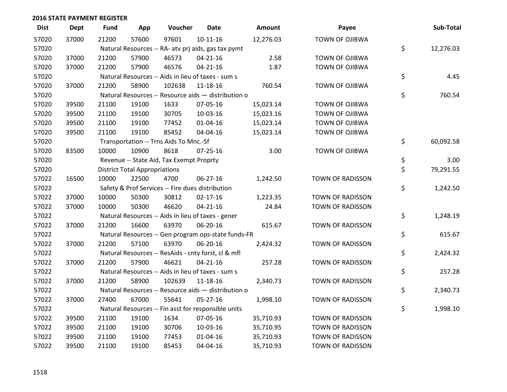| <b>Dist</b> | <b>Dept</b> | <b>Fund</b> | App                                  | Voucher                                             | <b>Date</b>    | Amount    | Payee                 | Sub-Total       |
|-------------|-------------|-------------|--------------------------------------|-----------------------------------------------------|----------------|-----------|-----------------------|-----------------|
| 57020       | 37000       | 21200       | 57600                                | 97601                                               | $10-11-16$     | 12,276.03 | <b>TOWN OF OJIBWA</b> |                 |
| 57020       |             |             |                                      | Natural Resources -- RA- atv prj aids, gas tax pymt |                |           |                       | \$<br>12,276.03 |
| 57020       | 37000       | 21200       | 57900                                | 46573                                               | $04 - 21 - 16$ | 2.58      | <b>TOWN OF OJIBWA</b> |                 |
| 57020       | 37000       | 21200       | 57900                                | 46576                                               | $04 - 21 - 16$ | 1.87      | <b>TOWN OF OJIBWA</b> |                 |
| 57020       |             |             |                                      | Natural Resources -- Aids in lieu of taxes - sum s  |                |           |                       | \$<br>4.45      |
| 57020       | 37000       | 21200       | 58900                                | 102638                                              | 11-18-16       | 760.54    | TOWN OF OJIBWA        |                 |
| 57020       |             |             |                                      | Natural Resources -- Resource aids - distribution o |                |           |                       | \$<br>760.54    |
| 57020       | 39500       | 21100       | 19100                                | 1633                                                | 07-05-16       | 15,023.14 | TOWN OF OJIBWA        |                 |
| 57020       | 39500       | 21100       | 19100                                | 30705                                               | 10-03-16       | 15,023.16 | <b>TOWN OF OJIBWA</b> |                 |
| 57020       | 39500       | 21100       | 19100                                | 77452                                               | 01-04-16       | 15,023.14 | TOWN OF OJIBWA        |                 |
| 57020       | 39500       | 21100       | 19100                                | 85452                                               | 04-04-16       | 15,023.14 | TOWN OF OJIBWA        |                 |
| 57020       |             |             |                                      | Transportation -- Trns Aids To Mnc.-Sf              |                |           |                       | \$<br>60,092.58 |
| 57020       | 83500       | 10000       | 10900                                | 8618                                                | $07 - 25 - 16$ | 3.00      | <b>TOWN OF OJIBWA</b> |                 |
| 57020       |             |             |                                      | Revenue -- State Aid, Tax Exempt Proprty            |                |           |                       | \$<br>3.00      |
| 57020       |             |             | <b>District Total Appropriations</b> |                                                     |                |           |                       | \$<br>79,291.55 |
| 57022       | 16500       | 10000       | 22500                                | 4700                                                | 06-27-16       | 1,242.50  | TOWN OF RADISSON      |                 |
| 57022       |             |             |                                      | Safety & Prof Services -- Fire dues distribution    |                |           |                       | \$<br>1,242.50  |
| 57022       | 37000       | 10000       | 50300                                | 30812                                               | $02 - 17 - 16$ | 1,223.35  | TOWN OF RADISSON      |                 |
| 57022       | 37000       | 10000       | 50300                                | 46620                                               | $04 - 21 - 16$ | 24.84     | TOWN OF RADISSON      |                 |
| 57022       |             |             |                                      | Natural Resources -- Aids in lieu of taxes - gener  |                |           |                       | \$<br>1,248.19  |
| 57022       | 37000       | 21200       | 16600                                | 63970                                               | 06-20-16       | 615.67    | TOWN OF RADISSON      |                 |
| 57022       |             |             |                                      | Natural Resources -- Gen program ops-state funds-FR |                |           |                       | \$<br>615.67    |
| 57022       | 37000       | 21200       | 57100                                | 63970                                               | 06-20-16       | 2,424.32  | TOWN OF RADISSON      |                 |
| 57022       |             |             |                                      | Natural Resources -- ResAids - cnty forst, cl & mfl |                |           |                       | \$<br>2,424.32  |
| 57022       | 37000       | 21200       | 57900                                | 46621                                               | $04 - 21 - 16$ | 257.28    | TOWN OF RADISSON      |                 |
| 57022       |             |             |                                      | Natural Resources -- Aids in lieu of taxes - sum s  |                |           |                       | \$<br>257.28    |
| 57022       | 37000       | 21200       | 58900                                | 102639                                              | 11-18-16       | 2,340.73  | TOWN OF RADISSON      |                 |
| 57022       |             |             |                                      | Natural Resources -- Resource aids - distribution o |                |           |                       | \$<br>2,340.73  |
| 57022       | 37000       | 27400       | 67000                                | 55641                                               | 05-27-16       | 1,998.10  | TOWN OF RADISSON      |                 |
| 57022       |             |             |                                      | Natural Resources -- Fin asst for responsible units |                |           |                       | \$<br>1,998.10  |
| 57022       | 39500       | 21100       | 19100                                | 1634                                                | 07-05-16       | 35,710.93 | TOWN OF RADISSON      |                 |
| 57022       | 39500       | 21100       | 19100                                | 30706                                               | 10-03-16       | 35,710.95 | TOWN OF RADISSON      |                 |
| 57022       | 39500       | 21100       | 19100                                | 77453                                               | $01 - 04 - 16$ | 35,710.93 | TOWN OF RADISSON      |                 |
| 57022       | 39500       | 21100       | 19100                                | 85453                                               | 04-04-16       | 35,710.93 | TOWN OF RADISSON      |                 |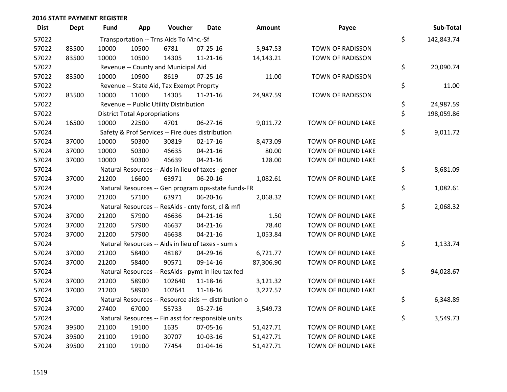| <b>Dist</b> | Dept  | Fund  | App                                  | Voucher                                  | <b>Date</b>                                         | <b>Amount</b> | Payee                   | Sub-Total        |
|-------------|-------|-------|--------------------------------------|------------------------------------------|-----------------------------------------------------|---------------|-------------------------|------------------|
| 57022       |       |       |                                      | Transportation -- Trns Aids To Mnc.-Sf   |                                                     |               |                         | \$<br>142,843.74 |
| 57022       | 83500 | 10000 | 10500                                | 6781                                     | 07-25-16                                            | 5,947.53      | <b>TOWN OF RADISSON</b> |                  |
| 57022       | 83500 | 10000 | 10500                                | 14305                                    | $11 - 21 - 16$                                      | 14,143.21     | TOWN OF RADISSON        |                  |
| 57022       |       |       |                                      | Revenue -- County and Municipal Aid      |                                                     |               |                         | \$<br>20,090.74  |
| 57022       | 83500 | 10000 | 10900                                | 8619                                     | $07 - 25 - 16$                                      | 11.00         | TOWN OF RADISSON        |                  |
| 57022       |       |       |                                      | Revenue -- State Aid, Tax Exempt Proprty |                                                     |               |                         | \$<br>11.00      |
| 57022       | 83500 | 10000 | 11000                                | 14305                                    | $11 - 21 - 16$                                      | 24,987.59     | TOWN OF RADISSON        |                  |
| 57022       |       |       |                                      | Revenue -- Public Utility Distribution   |                                                     |               |                         | \$<br>24,987.59  |
| 57022       |       |       | <b>District Total Appropriations</b> |                                          |                                                     |               |                         | \$<br>198,059.86 |
| 57024       | 16500 | 10000 | 22500                                | 4701                                     | 06-27-16                                            | 9,011.72      | TOWN OF ROUND LAKE      |                  |
| 57024       |       |       |                                      |                                          | Safety & Prof Services -- Fire dues distribution    |               |                         | \$<br>9,011.72   |
| 57024       | 37000 | 10000 | 50300                                | 30819                                    | $02 - 17 - 16$                                      | 8,473.09      | TOWN OF ROUND LAKE      |                  |
| 57024       | 37000 | 10000 | 50300                                | 46635                                    | $04 - 21 - 16$                                      | 80.00         | TOWN OF ROUND LAKE      |                  |
| 57024       | 37000 | 10000 | 50300                                | 46639                                    | $04 - 21 - 16$                                      | 128.00        | TOWN OF ROUND LAKE      |                  |
| 57024       |       |       |                                      |                                          | Natural Resources -- Aids in lieu of taxes - gener  |               |                         | \$<br>8,681.09   |
| 57024       | 37000 | 21200 | 16600                                | 63971                                    | 06-20-16                                            | 1,082.61      | TOWN OF ROUND LAKE      |                  |
| 57024       |       |       |                                      |                                          | Natural Resources -- Gen program ops-state funds-FR |               |                         | \$<br>1,082.61   |
| 57024       | 37000 | 21200 | 57100                                | 63971                                    | 06-20-16                                            | 2,068.32      | TOWN OF ROUND LAKE      |                  |
| 57024       |       |       |                                      |                                          | Natural Resources -- ResAids - cnty forst, cl & mfl |               |                         | \$<br>2,068.32   |
| 57024       | 37000 | 21200 | 57900                                | 46636                                    | $04 - 21 - 16$                                      | 1.50          | TOWN OF ROUND LAKE      |                  |
| 57024       | 37000 | 21200 | 57900                                | 46637                                    | $04 - 21 - 16$                                      | 78.40         | TOWN OF ROUND LAKE      |                  |
| 57024       | 37000 | 21200 | 57900                                | 46638                                    | $04 - 21 - 16$                                      | 1,053.84      | TOWN OF ROUND LAKE      |                  |
| 57024       |       |       |                                      |                                          | Natural Resources -- Aids in lieu of taxes - sum s  |               |                         | \$<br>1,133.74   |
| 57024       | 37000 | 21200 | 58400                                | 48187                                    | 04-29-16                                            | 6,721.77      | TOWN OF ROUND LAKE      |                  |
| 57024       | 37000 | 21200 | 58400                                | 90571                                    | 09-14-16                                            | 87,306.90     | TOWN OF ROUND LAKE      |                  |
| 57024       |       |       |                                      |                                          | Natural Resources -- ResAids - pymt in lieu tax fed |               |                         | \$<br>94,028.67  |
| 57024       | 37000 | 21200 | 58900                                | 102640                                   | 11-18-16                                            | 3,121.32      | TOWN OF ROUND LAKE      |                  |
| 57024       | 37000 | 21200 | 58900                                | 102641                                   | 11-18-16                                            | 3,227.57      | TOWN OF ROUND LAKE      |                  |
| 57024       |       |       |                                      |                                          | Natural Resources -- Resource aids - distribution o |               |                         | \$<br>6,348.89   |
| 57024       | 37000 | 27400 | 67000                                | 55733                                    | $05 - 27 - 16$                                      | 3,549.73      | TOWN OF ROUND LAKE      |                  |
| 57024       |       |       |                                      |                                          | Natural Resources -- Fin asst for responsible units |               |                         | \$<br>3,549.73   |
| 57024       | 39500 | 21100 | 19100                                | 1635                                     | 07-05-16                                            | 51,427.71     | TOWN OF ROUND LAKE      |                  |
| 57024       | 39500 | 21100 | 19100                                | 30707                                    | 10-03-16                                            | 51,427.71     | TOWN OF ROUND LAKE      |                  |
| 57024       | 39500 | 21100 | 19100                                | 77454                                    | 01-04-16                                            | 51,427.71     | TOWN OF ROUND LAKE      |                  |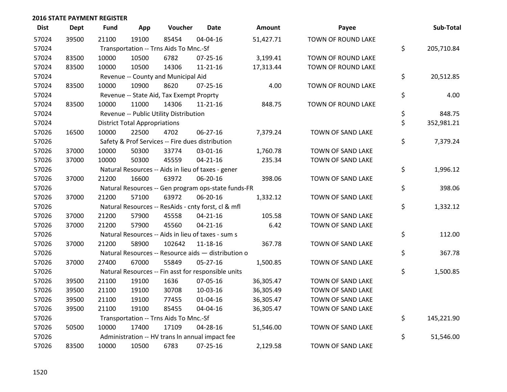| <b>Dist</b> | <b>Dept</b> | <b>Fund</b> | App                                  | Voucher                                             | <b>Date</b>    | <b>Amount</b> | Payee              | Sub-Total        |
|-------------|-------------|-------------|--------------------------------------|-----------------------------------------------------|----------------|---------------|--------------------|------------------|
| 57024       | 39500       | 21100       | 19100                                | 85454                                               | 04-04-16       | 51,427.71     | TOWN OF ROUND LAKE |                  |
| 57024       |             |             |                                      | Transportation -- Trns Aids To Mnc.-Sf              |                |               |                    | \$<br>205,710.84 |
| 57024       | 83500       | 10000       | 10500                                | 6782                                                | 07-25-16       | 3,199.41      | TOWN OF ROUND LAKE |                  |
| 57024       | 83500       | 10000       | 10500                                | 14306                                               | $11 - 21 - 16$ | 17,313.44     | TOWN OF ROUND LAKE |                  |
| 57024       |             |             |                                      | Revenue -- County and Municipal Aid                 |                |               |                    | \$<br>20,512.85  |
| 57024       | 83500       | 10000       | 10900                                | 8620                                                | $07 - 25 - 16$ | 4.00          | TOWN OF ROUND LAKE |                  |
| 57024       |             |             |                                      | Revenue -- State Aid, Tax Exempt Proprty            |                |               |                    | \$<br>4.00       |
| 57024       | 83500       | 10000       | 11000                                | 14306                                               | $11 - 21 - 16$ | 848.75        | TOWN OF ROUND LAKE |                  |
| 57024       |             |             |                                      | Revenue -- Public Utility Distribution              |                |               |                    | \$<br>848.75     |
| 57024       |             |             | <b>District Total Appropriations</b> |                                                     |                |               |                    | \$<br>352,981.21 |
| 57026       | 16500       | 10000       | 22500                                | 4702                                                | 06-27-16       | 7,379.24      | TOWN OF SAND LAKE  |                  |
| 57026       |             |             |                                      | Safety & Prof Services -- Fire dues distribution    |                |               |                    | \$<br>7,379.24   |
| 57026       | 37000       | 10000       | 50300                                | 33774                                               | 03-01-16       | 1,760.78      | TOWN OF SAND LAKE  |                  |
| 57026       | 37000       | 10000       | 50300                                | 45559                                               | $04 - 21 - 16$ | 235.34        | TOWN OF SAND LAKE  |                  |
| 57026       |             |             |                                      | Natural Resources -- Aids in lieu of taxes - gener  |                |               |                    | \$<br>1,996.12   |
| 57026       | 37000       | 21200       | 16600                                | 63972                                               | 06-20-16       | 398.06        | TOWN OF SAND LAKE  |                  |
| 57026       |             |             |                                      | Natural Resources -- Gen program ops-state funds-FR |                |               |                    | \$<br>398.06     |
| 57026       | 37000       | 21200       | 57100                                | 63972                                               | 06-20-16       | 1,332.12      | TOWN OF SAND LAKE  |                  |
| 57026       |             |             |                                      | Natural Resources -- ResAids - cnty forst, cl & mfl |                |               |                    | \$<br>1,332.12   |
| 57026       | 37000       | 21200       | 57900                                | 45558                                               | $04 - 21 - 16$ | 105.58        | TOWN OF SAND LAKE  |                  |
| 57026       | 37000       | 21200       | 57900                                | 45560                                               | $04 - 21 - 16$ | 6.42          | TOWN OF SAND LAKE  |                  |
| 57026       |             |             |                                      | Natural Resources -- Aids in lieu of taxes - sum s  |                |               |                    | \$<br>112.00     |
| 57026       | 37000       | 21200       | 58900                                | 102642                                              | 11-18-16       | 367.78        | TOWN OF SAND LAKE  |                  |
| 57026       |             |             |                                      | Natural Resources -- Resource aids - distribution o |                |               |                    | \$<br>367.78     |
| 57026       | 37000       | 27400       | 67000                                | 55849                                               | $05 - 27 - 16$ | 1,500.85      | TOWN OF SAND LAKE  |                  |
| 57026       |             |             |                                      | Natural Resources -- Fin asst for responsible units |                |               |                    | \$<br>1,500.85   |
| 57026       | 39500       | 21100       | 19100                                | 1636                                                | 07-05-16       | 36,305.47     | TOWN OF SAND LAKE  |                  |
| 57026       | 39500       | 21100       | 19100                                | 30708                                               | 10-03-16       | 36,305.49     | TOWN OF SAND LAKE  |                  |
| 57026       | 39500       | 21100       | 19100                                | 77455                                               | $01 - 04 - 16$ | 36,305.47     | TOWN OF SAND LAKE  |                  |
| 57026       | 39500       | 21100       | 19100                                | 85455                                               | 04-04-16       | 36,305.47     | TOWN OF SAND LAKE  |                  |
| 57026       |             |             |                                      | Transportation -- Trns Aids To Mnc.-Sf              |                |               |                    | \$<br>145,221.90 |
| 57026       | 50500       | 10000       | 17400                                | 17109                                               | 04-28-16       | 51,546.00     | TOWN OF SAND LAKE  |                  |
| 57026       |             |             |                                      | Administration -- HV trans In annual impact fee     |                |               |                    | \$<br>51,546.00  |
| 57026       | 83500       | 10000       | 10500                                | 6783                                                | 07-25-16       | 2,129.58      | TOWN OF SAND LAKE  |                  |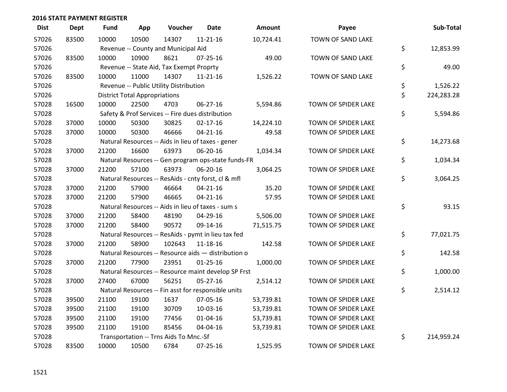| <b>Dist</b> | <b>Dept</b> | <b>Fund</b> | App                                  | Voucher                                             | <b>Date</b>    | <b>Amount</b> | Payee               | Sub-Total        |
|-------------|-------------|-------------|--------------------------------------|-----------------------------------------------------|----------------|---------------|---------------------|------------------|
| 57026       | 83500       | 10000       | 10500                                | 14307                                               | $11 - 21 - 16$ | 10,724.41     | TOWN OF SAND LAKE   |                  |
| 57026       |             |             |                                      | Revenue -- County and Municipal Aid                 |                |               |                     | \$<br>12,853.99  |
| 57026       | 83500       | 10000       | 10900                                | 8621                                                | 07-25-16       | 49.00         | TOWN OF SAND LAKE   |                  |
| 57026       |             |             |                                      | Revenue -- State Aid, Tax Exempt Proprty            |                |               |                     | \$<br>49.00      |
| 57026       | 83500       | 10000       | 11000                                | 14307                                               | $11 - 21 - 16$ | 1,526.22      | TOWN OF SAND LAKE   |                  |
| 57026       |             |             |                                      | Revenue -- Public Utility Distribution              |                |               |                     | \$<br>1,526.22   |
| 57026       |             |             | <b>District Total Appropriations</b> |                                                     |                |               |                     | \$<br>224,283.28 |
| 57028       | 16500       | 10000       | 22500                                | 4703                                                | 06-27-16       | 5,594.86      | TOWN OF SPIDER LAKE |                  |
| 57028       |             |             |                                      | Safety & Prof Services -- Fire dues distribution    |                |               |                     | \$<br>5,594.86   |
| 57028       | 37000       | 10000       | 50300                                | 30825                                               | $02 - 17 - 16$ | 14,224.10     | TOWN OF SPIDER LAKE |                  |
| 57028       | 37000       | 10000       | 50300                                | 46666                                               | $04 - 21 - 16$ | 49.58         | TOWN OF SPIDER LAKE |                  |
| 57028       |             |             |                                      | Natural Resources -- Aids in lieu of taxes - gener  |                |               |                     | \$<br>14,273.68  |
| 57028       | 37000       | 21200       | 16600                                | 63973                                               | 06-20-16       | 1,034.34      | TOWN OF SPIDER LAKE |                  |
| 57028       |             |             |                                      | Natural Resources -- Gen program ops-state funds-FR |                |               |                     | \$<br>1,034.34   |
| 57028       | 37000       | 21200       | 57100                                | 63973                                               | 06-20-16       | 3,064.25      | TOWN OF SPIDER LAKE |                  |
| 57028       |             |             |                                      | Natural Resources -- ResAids - cnty forst, cl & mfl |                |               |                     | \$<br>3,064.25   |
| 57028       | 37000       | 21200       | 57900                                | 46664                                               | $04 - 21 - 16$ | 35.20         | TOWN OF SPIDER LAKE |                  |
| 57028       | 37000       | 21200       | 57900                                | 46665                                               | $04 - 21 - 16$ | 57.95         | TOWN OF SPIDER LAKE |                  |
| 57028       |             |             |                                      | Natural Resources -- Aids in lieu of taxes - sum s  |                |               |                     | \$<br>93.15      |
| 57028       | 37000       | 21200       | 58400                                | 48190                                               | 04-29-16       | 5,506.00      | TOWN OF SPIDER LAKE |                  |
| 57028       | 37000       | 21200       | 58400                                | 90572                                               | 09-14-16       | 71,515.75     | TOWN OF SPIDER LAKE |                  |
| 57028       |             |             |                                      | Natural Resources -- ResAids - pymt in lieu tax fed |                |               |                     | \$<br>77,021.75  |
| 57028       | 37000       | 21200       | 58900                                | 102643                                              | 11-18-16       | 142.58        | TOWN OF SPIDER LAKE |                  |
| 57028       |             |             |                                      | Natural Resources -- Resource aids - distribution o |                |               |                     | \$<br>142.58     |
| 57028       | 37000       | 21200       | 77900                                | 23951                                               | $01 - 25 - 16$ | 1,000.00      | TOWN OF SPIDER LAKE |                  |
| 57028       |             |             |                                      | Natural Resources -- Resource maint develop SP Frst |                |               |                     | \$<br>1,000.00   |
| 57028       | 37000       | 27400       | 67000                                | 56251                                               | 05-27-16       | 2,514.12      | TOWN OF SPIDER LAKE |                  |
| 57028       |             |             |                                      | Natural Resources -- Fin asst for responsible units |                |               |                     | \$<br>2,514.12   |
| 57028       | 39500       | 21100       | 19100                                | 1637                                                | 07-05-16       | 53,739.81     | TOWN OF SPIDER LAKE |                  |
| 57028       | 39500       | 21100       | 19100                                | 30709                                               | 10-03-16       | 53,739.81     | TOWN OF SPIDER LAKE |                  |
| 57028       | 39500       | 21100       | 19100                                | 77456                                               | $01 - 04 - 16$ | 53,739.81     | TOWN OF SPIDER LAKE |                  |
| 57028       | 39500       | 21100       | 19100                                | 85456                                               | 04-04-16       | 53,739.81     | TOWN OF SPIDER LAKE |                  |
| 57028       |             |             |                                      | Transportation -- Trns Aids To Mnc.-Sf              |                |               |                     | \$<br>214,959.24 |
| 57028       | 83500       | 10000       | 10500                                | 6784                                                | 07-25-16       | 1,525.95      | TOWN OF SPIDER LAKE |                  |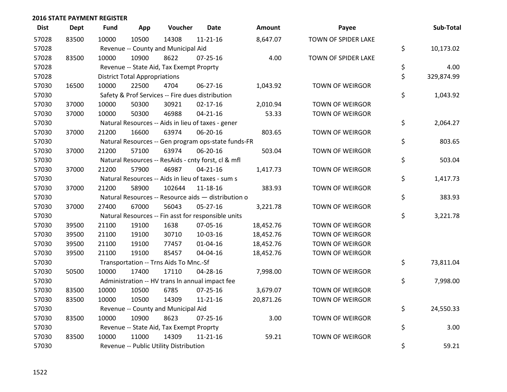| <b>Dist</b> | <b>Dept</b> | <b>Fund</b> | App                                  | Voucher                                  | <b>Date</b>                                         | <b>Amount</b> | Payee                  | Sub-Total        |
|-------------|-------------|-------------|--------------------------------------|------------------------------------------|-----------------------------------------------------|---------------|------------------------|------------------|
| 57028       | 83500       | 10000       | 10500                                | 14308                                    | $11 - 21 - 16$                                      | 8,647.07      | TOWN OF SPIDER LAKE    |                  |
| 57028       |             |             |                                      | Revenue -- County and Municipal Aid      |                                                     |               |                        | \$<br>10,173.02  |
| 57028       | 83500       | 10000       | 10900                                | 8622                                     | $07 - 25 - 16$                                      | 4.00          | TOWN OF SPIDER LAKE    |                  |
| 57028       |             |             |                                      | Revenue -- State Aid, Tax Exempt Proprty |                                                     |               |                        | \$<br>4.00       |
| 57028       |             |             | <b>District Total Appropriations</b> |                                          |                                                     |               |                        | \$<br>329,874.99 |
| 57030       | 16500       | 10000       | 22500                                | 4704                                     | 06-27-16                                            | 1,043.92      | <b>TOWN OF WEIRGOR</b> |                  |
| 57030       |             |             |                                      |                                          | Safety & Prof Services -- Fire dues distribution    |               |                        | \$<br>1,043.92   |
| 57030       | 37000       | 10000       | 50300                                | 30921                                    | $02 - 17 - 16$                                      | 2,010.94      | <b>TOWN OF WEIRGOR</b> |                  |
| 57030       | 37000       | 10000       | 50300                                | 46988                                    | $04 - 21 - 16$                                      | 53.33         | TOWN OF WEIRGOR        |                  |
| 57030       |             |             |                                      |                                          | Natural Resources -- Aids in lieu of taxes - gener  |               |                        | \$<br>2,064.27   |
| 57030       | 37000       | 21200       | 16600                                | 63974                                    | 06-20-16                                            | 803.65        | TOWN OF WEIRGOR        |                  |
| 57030       |             |             |                                      |                                          | Natural Resources -- Gen program ops-state funds-FR |               |                        | \$<br>803.65     |
| 57030       | 37000       | 21200       | 57100                                | 63974                                    | 06-20-16                                            | 503.04        | TOWN OF WEIRGOR        |                  |
| 57030       |             |             |                                      |                                          | Natural Resources -- ResAids - cnty forst, cl & mfl |               |                        | \$<br>503.04     |
| 57030       | 37000       | 21200       | 57900                                | 46987                                    | $04 - 21 - 16$                                      | 1,417.73      | <b>TOWN OF WEIRGOR</b> |                  |
| 57030       |             |             |                                      |                                          | Natural Resources -- Aids in lieu of taxes - sum s  |               |                        | \$<br>1,417.73   |
| 57030       | 37000       | 21200       | 58900                                | 102644                                   | 11-18-16                                            | 383.93        | TOWN OF WEIRGOR        |                  |
| 57030       |             |             |                                      |                                          | Natural Resources -- Resource aids - distribution o |               |                        | \$<br>383.93     |
| 57030       | 37000       | 27400       | 67000                                | 56043                                    | $05 - 27 - 16$                                      | 3,221.78      | TOWN OF WEIRGOR        |                  |
| 57030       |             |             |                                      |                                          | Natural Resources -- Fin asst for responsible units |               |                        | \$<br>3,221.78   |
| 57030       | 39500       | 21100       | 19100                                | 1638                                     | 07-05-16                                            | 18,452.76     | TOWN OF WEIRGOR        |                  |
| 57030       | 39500       | 21100       | 19100                                | 30710                                    | 10-03-16                                            | 18,452.76     | <b>TOWN OF WEIRGOR</b> |                  |
| 57030       | 39500       | 21100       | 19100                                | 77457                                    | $01 - 04 - 16$                                      | 18,452.76     | TOWN OF WEIRGOR        |                  |
| 57030       | 39500       | 21100       | 19100                                | 85457                                    | 04-04-16                                            | 18,452.76     | TOWN OF WEIRGOR        |                  |
| 57030       |             |             |                                      | Transportation -- Trns Aids To Mnc.-Sf   |                                                     |               |                        | \$<br>73,811.04  |
| 57030       | 50500       | 10000       | 17400                                | 17110                                    | 04-28-16                                            | 7,998.00      | TOWN OF WEIRGOR        |                  |
| 57030       |             |             |                                      |                                          | Administration -- HV trans In annual impact fee     |               |                        | \$<br>7,998.00   |
| 57030       | 83500       | 10000       | 10500                                | 6785                                     | $07 - 25 - 16$                                      | 3,679.07      | TOWN OF WEIRGOR        |                  |
| 57030       | 83500       | 10000       | 10500                                | 14309                                    | 11-21-16                                            | 20,871.26     | <b>TOWN OF WEIRGOR</b> |                  |
| 57030       |             |             |                                      | Revenue -- County and Municipal Aid      |                                                     |               |                        | \$<br>24,550.33  |
| 57030       | 83500       | 10000       | 10900                                | 8623                                     | $07 - 25 - 16$                                      | 3.00          | TOWN OF WEIRGOR        |                  |
| 57030       |             |             |                                      | Revenue -- State Aid, Tax Exempt Proprty |                                                     |               |                        | \$<br>3.00       |
| 57030       | 83500       | 10000       | 11000                                | 14309                                    | $11 - 21 - 16$                                      | 59.21         | <b>TOWN OF WEIRGOR</b> |                  |
| 57030       |             |             |                                      | Revenue -- Public Utility Distribution   |                                                     |               |                        | \$<br>59.21      |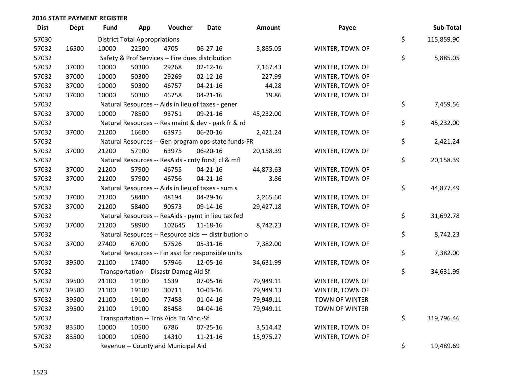| <b>Dist</b> | <b>Dept</b> | <b>Fund</b> | App                                  | Voucher                                | <b>Date</b>                                         | Amount    | Payee           | Sub-Total        |
|-------------|-------------|-------------|--------------------------------------|----------------------------------------|-----------------------------------------------------|-----------|-----------------|------------------|
| 57030       |             |             | <b>District Total Appropriations</b> |                                        |                                                     |           |                 | \$<br>115,859.90 |
| 57032       | 16500       | 10000       | 22500                                | 4705                                   | 06-27-16                                            | 5,885.05  | WINTER, TOWN OF |                  |
| 57032       |             |             |                                      |                                        | Safety & Prof Services -- Fire dues distribution    |           |                 | \$<br>5,885.05   |
| 57032       | 37000       | 10000       | 50300                                | 29268                                  | $02 - 12 - 16$                                      | 7,167.43  | WINTER, TOWN OF |                  |
| 57032       | 37000       | 10000       | 50300                                | 29269                                  | $02 - 12 - 16$                                      | 227.99    | WINTER, TOWN OF |                  |
| 57032       | 37000       | 10000       | 50300                                | 46757                                  | $04 - 21 - 16$                                      | 44.28     | WINTER, TOWN OF |                  |
| 57032       | 37000       | 10000       | 50300                                | 46758                                  | $04 - 21 - 16$                                      | 19.86     | WINTER, TOWN OF |                  |
| 57032       |             |             |                                      |                                        | Natural Resources -- Aids in lieu of taxes - gener  |           |                 | \$<br>7,459.56   |
| 57032       | 37000       | 10000       | 78500                                | 93751                                  | 09-21-16                                            | 45,232.00 | WINTER, TOWN OF |                  |
| 57032       |             |             |                                      |                                        | Natural Resources -- Res maint & dev - park fr & rd |           |                 | \$<br>45,232.00  |
| 57032       | 37000       | 21200       | 16600                                | 63975                                  | 06-20-16                                            | 2,421.24  | WINTER, TOWN OF |                  |
| 57032       |             |             |                                      |                                        | Natural Resources -- Gen program ops-state funds-FR |           |                 | \$<br>2,421.24   |
| 57032       | 37000       | 21200       | 57100                                | 63975                                  | 06-20-16                                            | 20,158.39 | WINTER, TOWN OF |                  |
| 57032       |             |             |                                      |                                        | Natural Resources -- ResAids - cnty forst, cl & mfl |           |                 | \$<br>20,158.39  |
| 57032       | 37000       | 21200       | 57900                                | 46755                                  | $04 - 21 - 16$                                      | 44,873.63 | WINTER, TOWN OF |                  |
| 57032       | 37000       | 21200       | 57900                                | 46756                                  | $04 - 21 - 16$                                      | 3.86      | WINTER, TOWN OF |                  |
| 57032       |             |             |                                      |                                        | Natural Resources -- Aids in lieu of taxes - sum s  |           |                 | \$<br>44,877.49  |
| 57032       | 37000       | 21200       | 58400                                | 48194                                  | 04-29-16                                            | 2,265.60  | WINTER, TOWN OF |                  |
| 57032       | 37000       | 21200       | 58400                                | 90573                                  | 09-14-16                                            | 29,427.18 | WINTER, TOWN OF |                  |
| 57032       |             |             |                                      |                                        | Natural Resources -- ResAids - pymt in lieu tax fed |           |                 | \$<br>31,692.78  |
| 57032       | 37000       | 21200       | 58900                                | 102645                                 | 11-18-16                                            | 8,742.23  | WINTER, TOWN OF |                  |
| 57032       |             |             |                                      |                                        | Natural Resources -- Resource aids - distribution o |           |                 | \$<br>8,742.23   |
| 57032       | 37000       | 27400       | 67000                                | 57526                                  | 05-31-16                                            | 7,382.00  | WINTER, TOWN OF |                  |
| 57032       |             |             |                                      |                                        | Natural Resources -- Fin asst for responsible units |           |                 | \$<br>7,382.00   |
| 57032       | 39500       | 21100       | 17400                                | 57946                                  | 12-05-16                                            | 34,631.99 | WINTER, TOWN OF |                  |
| 57032       |             |             |                                      | Transportation -- Disastr Damag Aid Sf |                                                     |           |                 | \$<br>34,631.99  |
| 57032       | 39500       | 21100       | 19100                                | 1639                                   | 07-05-16                                            | 79,949.11 | WINTER, TOWN OF |                  |
| 57032       | 39500       | 21100       | 19100                                | 30711                                  | 10-03-16                                            | 79,949.13 | WINTER, TOWN OF |                  |
| 57032       | 39500       | 21100       | 19100                                | 77458                                  | $01 - 04 - 16$                                      | 79,949.11 | TOWN OF WINTER  |                  |
| 57032       | 39500       | 21100       | 19100                                | 85458                                  | 04-04-16                                            | 79,949.11 | TOWN OF WINTER  |                  |
| 57032       |             |             |                                      | Transportation -- Trns Aids To Mnc.-Sf |                                                     |           |                 | \$<br>319,796.46 |
| 57032       | 83500       | 10000       | 10500                                | 6786                                   | 07-25-16                                            | 3,514.42  | WINTER, TOWN OF |                  |
| 57032       | 83500       | 10000       | 10500                                | 14310                                  | $11 - 21 - 16$                                      | 15,975.27 | WINTER, TOWN OF |                  |
| 57032       |             |             |                                      | Revenue -- County and Municipal Aid    |                                                     |           |                 | \$<br>19,489.69  |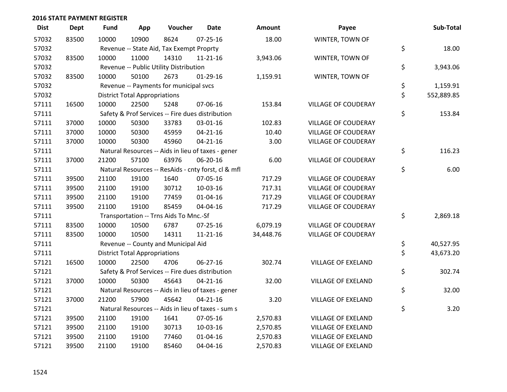| <b>Dist</b> | <b>Dept</b> | <b>Fund</b> | App                                  | Voucher                                  | <b>Date</b>                                         | Amount    | Payee                      | Sub-Total        |
|-------------|-------------|-------------|--------------------------------------|------------------------------------------|-----------------------------------------------------|-----------|----------------------------|------------------|
| 57032       | 83500       | 10000       | 10900                                | 8624                                     | $07 - 25 - 16$                                      | 18.00     | WINTER, TOWN OF            |                  |
| 57032       |             |             |                                      | Revenue -- State Aid, Tax Exempt Proprty |                                                     |           |                            | \$<br>18.00      |
| 57032       | 83500       | 10000       | 11000                                | 14310                                    | $11 - 21 - 16$                                      | 3,943.06  | WINTER, TOWN OF            |                  |
| 57032       |             |             |                                      | Revenue -- Public Utility Distribution   |                                                     |           |                            | \$<br>3,943.06   |
| 57032       | 83500       | 10000       | 50100                                | 2673                                     | 01-29-16                                            | 1,159.91  | WINTER, TOWN OF            |                  |
| 57032       |             |             |                                      | Revenue -- Payments for municipal svcs   |                                                     |           |                            | \$<br>1,159.91   |
| 57032       |             |             | <b>District Total Appropriations</b> |                                          |                                                     |           |                            | \$<br>552,889.85 |
| 57111       | 16500       | 10000       | 22500                                | 5248                                     | 07-06-16                                            | 153.84    | <b>VILLAGE OF COUDERAY</b> |                  |
| 57111       |             |             |                                      |                                          | Safety & Prof Services -- Fire dues distribution    |           |                            | \$<br>153.84     |
| 57111       | 37000       | 10000       | 50300                                | 33783                                    | 03-01-16                                            | 102.83    | <b>VILLAGE OF COUDERAY</b> |                  |
| 57111       | 37000       | 10000       | 50300                                | 45959                                    | $04 - 21 - 16$                                      | 10.40     | <b>VILLAGE OF COUDERAY</b> |                  |
| 57111       | 37000       | 10000       | 50300                                | 45960                                    | $04 - 21 - 16$                                      | 3.00      | <b>VILLAGE OF COUDERAY</b> |                  |
| 57111       |             |             |                                      |                                          | Natural Resources -- Aids in lieu of taxes - gener  |           |                            | \$<br>116.23     |
| 57111       | 37000       | 21200       | 57100                                | 63976                                    | 06-20-16                                            | 6.00      | VILLAGE OF COUDERAY        |                  |
| 57111       |             |             |                                      |                                          | Natural Resources -- ResAids - cnty forst, cl & mfl |           |                            | \$<br>6.00       |
| 57111       | 39500       | 21100       | 19100                                | 1640                                     | 07-05-16                                            | 717.29    | <b>VILLAGE OF COUDERAY</b> |                  |
| 57111       | 39500       | 21100       | 19100                                | 30712                                    | 10-03-16                                            | 717.31    | <b>VILLAGE OF COUDERAY</b> |                  |
| 57111       | 39500       | 21100       | 19100                                | 77459                                    | $01 - 04 - 16$                                      | 717.29    | <b>VILLAGE OF COUDERAY</b> |                  |
| 57111       | 39500       | 21100       | 19100                                | 85459                                    | 04-04-16                                            | 717.29    | <b>VILLAGE OF COUDERAY</b> |                  |
| 57111       |             |             |                                      | Transportation -- Trns Aids To Mnc.-Sf   |                                                     |           |                            | \$<br>2,869.18   |
| 57111       | 83500       | 10000       | 10500                                | 6787                                     | 07-25-16                                            | 6,079.19  | <b>VILLAGE OF COUDERAY</b> |                  |
| 57111       | 83500       | 10000       | 10500                                | 14311                                    | 11-21-16                                            | 34,448.76 | <b>VILLAGE OF COUDERAY</b> |                  |
| 57111       |             |             |                                      | Revenue -- County and Municipal Aid      |                                                     |           |                            | \$<br>40,527.95  |
| 57111       |             |             | <b>District Total Appropriations</b> |                                          |                                                     |           |                            | \$<br>43,673.20  |
| 57121       | 16500       | 10000       | 22500                                | 4706                                     | 06-27-16                                            | 302.74    | <b>VILLAGE OF EXELAND</b>  |                  |
| 57121       |             |             |                                      |                                          | Safety & Prof Services -- Fire dues distribution    |           |                            | \$<br>302.74     |
| 57121       | 37000       | 10000       | 50300                                | 45643                                    | $04 - 21 - 16$                                      | 32.00     | <b>VILLAGE OF EXELAND</b>  |                  |
| 57121       |             |             |                                      |                                          | Natural Resources -- Aids in lieu of taxes - gener  |           |                            | \$<br>32.00      |
| 57121       | 37000       | 21200       | 57900                                | 45642                                    | $04 - 21 - 16$                                      | 3.20      | <b>VILLAGE OF EXELAND</b>  |                  |
| 57121       |             |             |                                      |                                          | Natural Resources -- Aids in lieu of taxes - sum s  |           |                            | \$<br>3.20       |
| 57121       | 39500       | 21100       | 19100                                | 1641                                     | 07-05-16                                            | 2,570.83  | <b>VILLAGE OF EXELAND</b>  |                  |
| 57121       | 39500       | 21100       | 19100                                | 30713                                    | 10-03-16                                            | 2,570.85  | <b>VILLAGE OF EXELAND</b>  |                  |
| 57121       | 39500       | 21100       | 19100                                | 77460                                    | $01 - 04 - 16$                                      | 2,570.83  | <b>VILLAGE OF EXELAND</b>  |                  |
| 57121       | 39500       | 21100       | 19100                                | 85460                                    | 04-04-16                                            | 2,570.83  | <b>VILLAGE OF EXELAND</b>  |                  |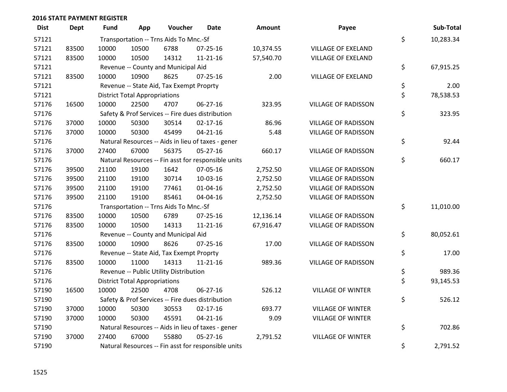| <b>Dist</b> | <b>Dept</b> | Fund  | App                                  | Voucher                                  | <b>Date</b>                                         | Amount    | Payee                      | Sub-Total       |
|-------------|-------------|-------|--------------------------------------|------------------------------------------|-----------------------------------------------------|-----------|----------------------------|-----------------|
| 57121       |             |       |                                      | Transportation -- Trns Aids To Mnc.-Sf   |                                                     |           |                            | \$<br>10,283.34 |
| 57121       | 83500       | 10000 | 10500                                | 6788                                     | 07-25-16                                            | 10,374.55 | <b>VILLAGE OF EXELAND</b>  |                 |
| 57121       | 83500       | 10000 | 10500                                | 14312                                    | $11 - 21 - 16$                                      | 57,540.70 | <b>VILLAGE OF EXELAND</b>  |                 |
| 57121       |             |       |                                      | Revenue -- County and Municipal Aid      |                                                     |           |                            | \$<br>67,915.25 |
| 57121       | 83500       | 10000 | 10900                                | 8625                                     | $07 - 25 - 16$                                      | 2.00      | <b>VILLAGE OF EXELAND</b>  |                 |
| 57121       |             |       |                                      | Revenue -- State Aid, Tax Exempt Proprty |                                                     |           |                            | \$<br>2.00      |
| 57121       |             |       | <b>District Total Appropriations</b> |                                          |                                                     |           |                            | \$<br>78,538.53 |
| 57176       | 16500       | 10000 | 22500                                | 4707                                     | 06-27-16                                            | 323.95    | <b>VILLAGE OF RADISSON</b> |                 |
| 57176       |             |       |                                      |                                          | Safety & Prof Services -- Fire dues distribution    |           |                            | \$<br>323.95    |
| 57176       | 37000       | 10000 | 50300                                | 30514                                    | $02 - 17 - 16$                                      | 86.96     | <b>VILLAGE OF RADISSON</b> |                 |
| 57176       | 37000       | 10000 | 50300                                | 45499                                    | $04 - 21 - 16$                                      | 5.48      | <b>VILLAGE OF RADISSON</b> |                 |
| 57176       |             |       |                                      |                                          | Natural Resources -- Aids in lieu of taxes - gener  |           |                            | \$<br>92.44     |
| 57176       | 37000       | 27400 | 67000                                | 56375                                    | $05 - 27 - 16$                                      | 660.17    | <b>VILLAGE OF RADISSON</b> |                 |
| 57176       |             |       |                                      |                                          | Natural Resources -- Fin asst for responsible units |           |                            | \$<br>660.17    |
| 57176       | 39500       | 21100 | 19100                                | 1642                                     | 07-05-16                                            | 2,752.50  | <b>VILLAGE OF RADISSON</b> |                 |
| 57176       | 39500       | 21100 | 19100                                | 30714                                    | 10-03-16                                            | 2,752.50  | <b>VILLAGE OF RADISSON</b> |                 |
| 57176       | 39500       | 21100 | 19100                                | 77461                                    | $01 - 04 - 16$                                      | 2,752.50  | <b>VILLAGE OF RADISSON</b> |                 |
| 57176       | 39500       | 21100 | 19100                                | 85461                                    | 04-04-16                                            | 2,752.50  | <b>VILLAGE OF RADISSON</b> |                 |
| 57176       |             |       |                                      | Transportation -- Trns Aids To Mnc.-Sf   |                                                     |           |                            | \$<br>11,010.00 |
| 57176       | 83500       | 10000 | 10500                                | 6789                                     | 07-25-16                                            | 12,136.14 | <b>VILLAGE OF RADISSON</b> |                 |
| 57176       | 83500       | 10000 | 10500                                | 14313                                    | $11 - 21 - 16$                                      | 67,916.47 | <b>VILLAGE OF RADISSON</b> |                 |
| 57176       |             |       |                                      | Revenue -- County and Municipal Aid      |                                                     |           |                            | \$<br>80,052.61 |
| 57176       | 83500       | 10000 | 10900                                | 8626                                     | $07 - 25 - 16$                                      | 17.00     | <b>VILLAGE OF RADISSON</b> |                 |
| 57176       |             |       |                                      | Revenue -- State Aid, Tax Exempt Proprty |                                                     |           |                            | \$<br>17.00     |
| 57176       | 83500       | 10000 | 11000                                | 14313                                    | $11 - 21 - 16$                                      | 989.36    | <b>VILLAGE OF RADISSON</b> |                 |
| 57176       |             |       |                                      | Revenue -- Public Utility Distribution   |                                                     |           |                            | \$<br>989.36    |
| 57176       |             |       | <b>District Total Appropriations</b> |                                          |                                                     |           |                            | \$<br>93,145.53 |
| 57190       | 16500       | 10000 | 22500                                | 4708                                     | 06-27-16                                            | 526.12    | <b>VILLAGE OF WINTER</b>   |                 |
| 57190       |             |       |                                      |                                          | Safety & Prof Services -- Fire dues distribution    |           |                            | \$<br>526.12    |
| 57190       | 37000       | 10000 | 50300                                | 30553                                    | $02 - 17 - 16$                                      | 693.77    | <b>VILLAGE OF WINTER</b>   |                 |
| 57190       | 37000       | 10000 | 50300                                | 45591                                    | $04 - 21 - 16$                                      | 9.09      | <b>VILLAGE OF WINTER</b>   |                 |
| 57190       |             |       |                                      |                                          | Natural Resources -- Aids in lieu of taxes - gener  |           |                            | \$<br>702.86    |
| 57190       | 37000       | 27400 | 67000                                | 55880                                    | $05 - 27 - 16$                                      | 2,791.52  | <b>VILLAGE OF WINTER</b>   |                 |
| 57190       |             |       |                                      |                                          | Natural Resources -- Fin asst for responsible units |           |                            | \$<br>2,791.52  |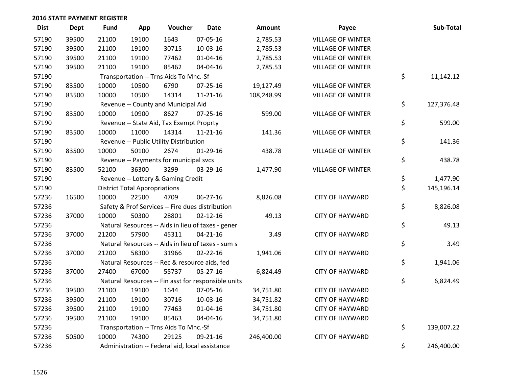| <b>Dist</b> | Dept  | <b>Fund</b> | App                                  | Voucher                                         | <b>Date</b>                                         | <b>Amount</b> | Payee                    | Sub-Total        |
|-------------|-------|-------------|--------------------------------------|-------------------------------------------------|-----------------------------------------------------|---------------|--------------------------|------------------|
| 57190       | 39500 | 21100       | 19100                                | 1643                                            | 07-05-16                                            | 2,785.53      | <b>VILLAGE OF WINTER</b> |                  |
| 57190       | 39500 | 21100       | 19100                                | 30715                                           | 10-03-16                                            | 2,785.53      | <b>VILLAGE OF WINTER</b> |                  |
| 57190       | 39500 | 21100       | 19100                                | 77462                                           | $01 - 04 - 16$                                      | 2,785.53      | <b>VILLAGE OF WINTER</b> |                  |
| 57190       | 39500 | 21100       | 19100                                | 85462                                           | 04-04-16                                            | 2,785.53      | <b>VILLAGE OF WINTER</b> |                  |
| 57190       |       |             |                                      | Transportation -- Trns Aids To Mnc.-Sf          |                                                     |               |                          | \$<br>11,142.12  |
| 57190       | 83500 | 10000       | 10500                                | 6790                                            | $07 - 25 - 16$                                      | 19,127.49     | <b>VILLAGE OF WINTER</b> |                  |
| 57190       | 83500 | 10000       | 10500                                | 14314                                           | $11 - 21 - 16$                                      | 108,248.99    | <b>VILLAGE OF WINTER</b> |                  |
| 57190       |       |             |                                      | Revenue -- County and Municipal Aid             |                                                     |               |                          | \$<br>127,376.48 |
| 57190       | 83500 | 10000       | 10900                                | 8627                                            | 07-25-16                                            | 599.00        | <b>VILLAGE OF WINTER</b> |                  |
| 57190       |       |             |                                      | Revenue -- State Aid, Tax Exempt Proprty        |                                                     |               |                          | \$<br>599.00     |
| 57190       | 83500 | 10000       | 11000                                | 14314                                           | $11 - 21 - 16$                                      | 141.36        | <b>VILLAGE OF WINTER</b> |                  |
| 57190       |       |             |                                      | Revenue -- Public Utility Distribution          |                                                     |               |                          | \$<br>141.36     |
| 57190       | 83500 | 10000       | 50100                                | 2674                                            | $01-29-16$                                          | 438.78        | <b>VILLAGE OF WINTER</b> |                  |
| 57190       |       |             |                                      | Revenue -- Payments for municipal svcs          |                                                     |               |                          | \$<br>438.78     |
| 57190       | 83500 | 52100       | 36300                                | 3299                                            | 03-29-16                                            | 1,477.90      | <b>VILLAGE OF WINTER</b> |                  |
| 57190       |       |             |                                      | Revenue -- Lottery & Gaming Credit              |                                                     |               |                          | \$<br>1,477.90   |
| 57190       |       |             | <b>District Total Appropriations</b> |                                                 |                                                     |               |                          | \$<br>145,196.14 |
| 57236       | 16500 | 10000       | 22500                                | 4709                                            | 06-27-16                                            | 8,826.08      | <b>CITY OF HAYWARD</b>   |                  |
| 57236       |       |             |                                      |                                                 | Safety & Prof Services -- Fire dues distribution    |               |                          | \$<br>8,826.08   |
| 57236       | 37000 | 10000       | 50300                                | 28801                                           | $02 - 12 - 16$                                      | 49.13         | <b>CITY OF HAYWARD</b>   |                  |
| 57236       |       |             |                                      |                                                 | Natural Resources -- Aids in lieu of taxes - gener  |               |                          | \$<br>49.13      |
| 57236       | 37000 | 21200       | 57900                                | 45311                                           | $04 - 21 - 16$                                      | 3.49          | <b>CITY OF HAYWARD</b>   |                  |
| 57236       |       |             |                                      |                                                 | Natural Resources -- Aids in lieu of taxes - sum s  |               |                          | \$<br>3.49       |
| 57236       | 37000 | 21200       | 58300                                | 31966                                           | $02 - 22 - 16$                                      | 1,941.06      | <b>CITY OF HAYWARD</b>   |                  |
| 57236       |       |             |                                      | Natural Resources -- Rec & resource aids, fed   |                                                     |               |                          | \$<br>1,941.06   |
| 57236       | 37000 | 27400       | 67000                                | 55737                                           | 05-27-16                                            | 6,824.49      | <b>CITY OF HAYWARD</b>   |                  |
| 57236       |       |             |                                      |                                                 | Natural Resources -- Fin asst for responsible units |               |                          | \$<br>6,824.49   |
| 57236       | 39500 | 21100       | 19100                                | 1644                                            | 07-05-16                                            | 34,751.80     | <b>CITY OF HAYWARD</b>   |                  |
| 57236       | 39500 | 21100       | 19100                                | 30716                                           | 10-03-16                                            | 34,751.82     | <b>CITY OF HAYWARD</b>   |                  |
| 57236       | 39500 | 21100       | 19100                                | 77463                                           | $01 - 04 - 16$                                      | 34,751.80     | <b>CITY OF HAYWARD</b>   |                  |
| 57236       | 39500 | 21100       | 19100                                | 85463                                           | 04-04-16                                            | 34,751.80     | <b>CITY OF HAYWARD</b>   |                  |
| 57236       |       |             |                                      | Transportation -- Trns Aids To Mnc.-Sf          |                                                     |               |                          | \$<br>139,007.22 |
| 57236       | 50500 | 10000       | 74300                                | 29125                                           | 09-21-16                                            | 246,400.00    | <b>CITY OF HAYWARD</b>   |                  |
| 57236       |       |             |                                      | Administration -- Federal aid, local assistance |                                                     |               |                          | \$<br>246,400.00 |